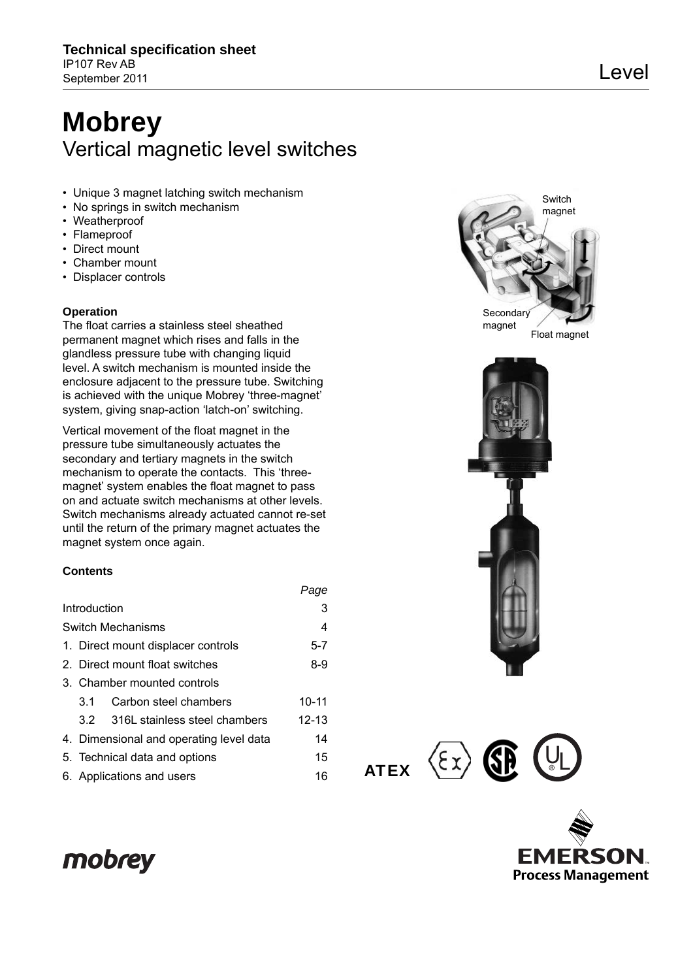# **Mobrey** Vertical magnetic level switches

- Unique 3 magnet latching switch mechanism
- No springs in switch mechanism
- Weatherproof
- Flameproof
- Direct mount
- Chamber mount
- Displacer controls

### **Operation**

The float carries a stainless steel sheathed permanent magnet which rises and falls in the glandless pressure tube with changing liquid level. A switch mechanism is mounted inside the enclosure adjacent to the pressure tube. Switching is achieved with the unique Mobrey 'three-magnet' system, giving snap-action 'latch-on' switching.

Vertical movement of the float magnet in the pressure tube simultaneously actuates the secondary and tertiary magnets in the switch mechanism to operate the contacts. This 'threemagnet' system enables the float magnet to pass on and actuate switch mechanisms at other levels. Switch mechanisms already actuated cannot re-set until the return of the primary magnet actuates the magnet system once again.

### **Contents**

|              |         |                                               | , uyv          |  |  |  |  |  |  |  |  |  |  |
|--------------|---------|-----------------------------------------------|----------------|--|--|--|--|--|--|--|--|--|--|
| Introduction |         |                                               |                |  |  |  |  |  |  |  |  |  |  |
|              |         | <b>Switch Mechanisms</b>                      | $\overline{4}$ |  |  |  |  |  |  |  |  |  |  |
|              |         | 1. Direct mount displacer controls            | $5 - 7$        |  |  |  |  |  |  |  |  |  |  |
|              |         | 2. Direct mount float switches                | $8-9$          |  |  |  |  |  |  |  |  |  |  |
|              |         | 3. Chamber mounted controls                   |                |  |  |  |  |  |  |  |  |  |  |
|              | $3.1 -$ | Carbon steel chambers                         | $10 - 11$      |  |  |  |  |  |  |  |  |  |  |
|              |         | 3.2 316L stainless steel chambers             | $12 - 13$      |  |  |  |  |  |  |  |  |  |  |
|              |         | 14<br>4. Dimensional and operating level data |                |  |  |  |  |  |  |  |  |  |  |
|              |         | 15<br>5. Technical data and options           |                |  |  |  |  |  |  |  |  |  |  |
|              |         | 6. Applications and users                     | 16             |  |  |  |  |  |  |  |  |  |  |



ATEX

*Page*



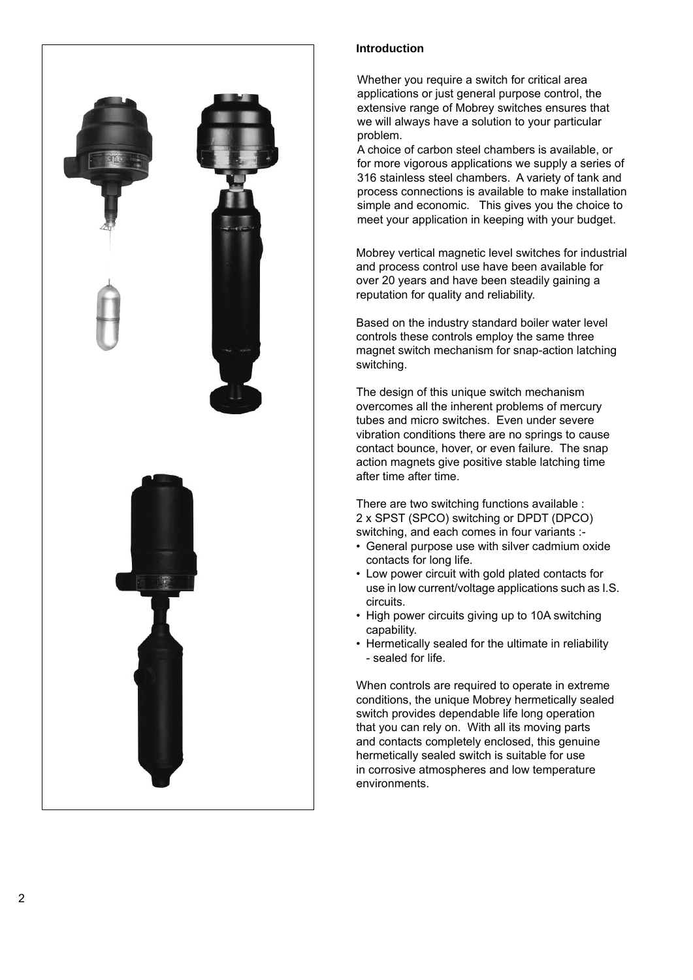

### **Introduction**

Whether you require a switch for critical area applications or just general purpose control, the extensive range of Mobrey switches ensures that we will always have a solution to your particular problem.

A choice of carbon steel chambers is available, or for more vigorous applications we supply a series of 316 stainless steel chambers. A variety of tank and process connections is available to make installation simple and economic. This gives you the choice to meet your application in keeping with your budget.

Mobrey vertical magnetic level switches for industrial and process control use have been available for over 20 years and have been steadily gaining a reputation for quality and reliability.

Based on the industry standard boiler water level controls these controls employ the same three magnet switch mechanism for snap-action latching switching.

The design of this unique switch mechanism overcomes all the inherent problems of mercury tubes and micro switches. Even under severe vibration conditions there are no springs to cause contact bounce, hover, or even failure. The snap action magnets give positive stable latching time after time after time.

There are two switching functions available : 2 x SPST (SPCO) switching or DPDT (DPCO) switching, and each comes in four variants :-

- General purpose use with silver cadmium oxide contacts for long life.
- Low power circuit with gold plated contacts for use in low current/voltage applications such as I.S. circuits.
- High power circuits giving up to 10A switching capability.
- Hermetically sealed for the ultimate in reliability - sealed for life.

When controls are required to operate in extreme conditions, the unique Mobrey hermetically sealed switch provides dependable life long operation that you can rely on. With all its moving parts and contacts completely enclosed, this genuine hermetically sealed switch is suitable for use in corrosive atmospheres and low temperature environments.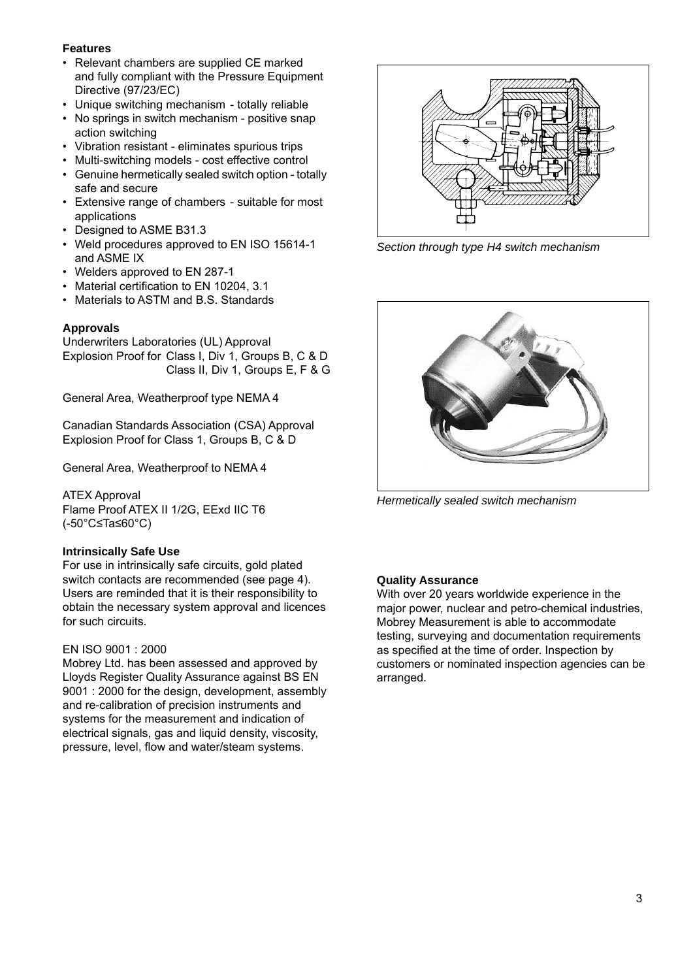### **Features**

- Relevant chambers are supplied CE marked and fully compliant with the Pressure Equipment Directive (97/23/EC)
- Unique switching mechanism totally reliable
- No springs in switch mechanism positive snap action switching
- Vibration resistant eliminates spurious trips
- Multi-switching models cost effective control
- Genuine hermetically sealed switch option totally safe and secure
- Extensive range of chambers suitable for most applications
- Designed to ASME B31.3
- Weld procedures approved to EN ISO 15614-1 and ASME IX
- Welders approved to EN 287-1
- Material certification to EN 10204, 3.1
- Materials to ASTM and B.S. Standards

### **Approvals**

Underwriters Laboratories (UL) Approval Explosion Proof for Class I, Div 1, Groups B, C & D Class II, Div 1, Groups E, F & G

General Area, Weatherproof type NEMA 4

Canadian Standards Association (CSA) Approval Explosion Proof for Class 1, Groups B, C & D

General Area, Weatherproof to NEMA 4

ATEX Approval Flame Proof ATEX II 1/2G, EExd IIC T6 (-50°C≤Ta≤60°C)

### **Intrinsically Safe Use**

For use in intrinsically safe circuits, gold plated switch contacts are recommended (see page 4). Users are reminded that it is their responsibility to obtain the necessary system approval and licences for such circuits.

### EN ISO 9001 : 2000

Mobrey Ltd. has been assessed and approved by Lloyds Register Quality Assurance against BS EN 9001 : 2000 for the design, development, assembly and re-calibration of precision instruments and systems for the measurement and indication of electrical signals, gas and liquid density, viscosity, pressure, level, flow and water/steam systems.



*Section through type H4 switch mechanism*



*Hermetically sealed switch mechanism*

### **Quality Assurance**

With over 20 years worldwide experience in the major power, nuclear and petro-chemical industries, Mobrey Measurement is able to accommodate testing, surveying and documentation requirements as specified at the time of order. Inspection by customers or nominated inspection agencies can be arranged.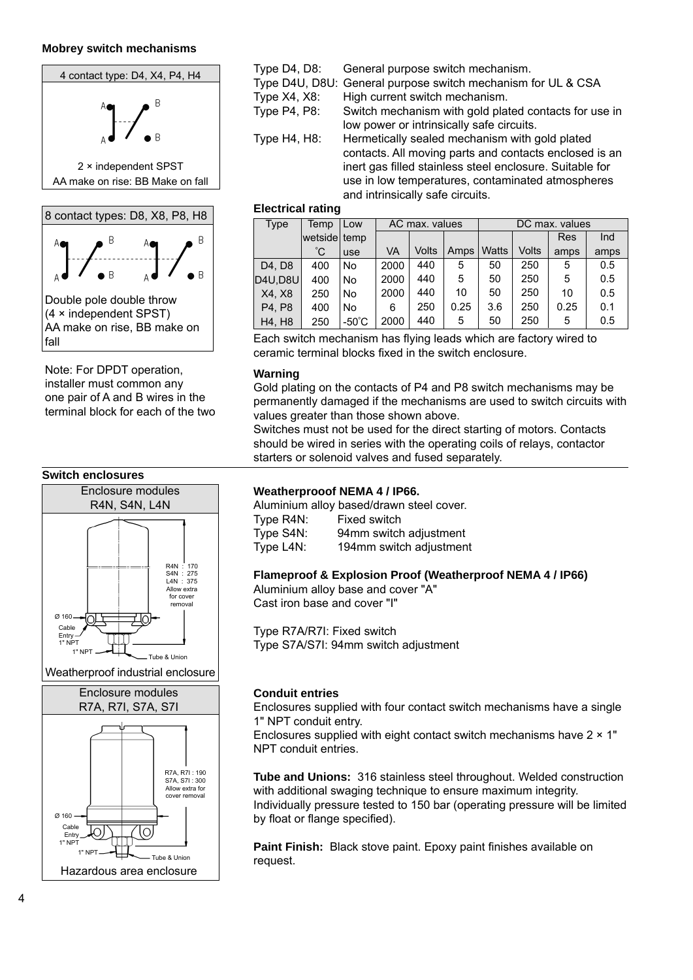### **Mobrey switch mechanisms**





Note: For DPDT operation, installer must common any one pair of A and B wires in the terminal block for each of the two





Type D4, D8: General purpose switch mechanism. Type D4U, D8U: General purpose switch mechanism for UL & CSA Type X4, X8: High current switch mechanism. Type P4, P8: Switch mechanism with gold plated contacts for use in low power or intrinsically safe circuits. Type H4, H8: Hermetically sealed mechanism with gold plated contacts. All moving parts and contacts enclosed is an inert gas filled stainless steel enclosure. Suitable for use in low temperatures, contaminated atmospheres and intrinsically safe circuits.

#### **Electrical rating**

| AC max. values                  |              |                 |      |       |      |                |       |            |      |  |  |  |  |
|---------------------------------|--------------|-----------------|------|-------|------|----------------|-------|------------|------|--|--|--|--|
| Type                            | Temp         | Low             |      |       |      | DC max. values |       |            |      |  |  |  |  |
|                                 | wetside temp |                 |      |       |      |                |       | <b>Res</b> | Ind  |  |  |  |  |
|                                 | °С           | <b>use</b>      | VA   | Volts | Amps | <b>Watts</b>   | Volts | amps       | amps |  |  |  |  |
| D <sub>4</sub> . D <sub>8</sub> | 400          | No.             | 2000 | 440   | 5    | 50             | 250   | 5          | 0.5  |  |  |  |  |
| D4U, D8U                        | 400          | No              | 2000 | 440   | 5    | 50             | 250   | 5          | 0.5  |  |  |  |  |
| X4, X8                          | 250          | <b>No</b>       | 2000 | 440   | 10   | 50             | 250   | 10         | 0.5  |  |  |  |  |
| P4, P8                          | 400          | <b>No</b>       | 6    | 250   | 0.25 | 3.6            | 250   | 0.25       | 0.1  |  |  |  |  |
| H4, H8                          | 250          | $-50^{\circ}$ C | 2000 | 440   | 5    | 50             | 250   | 5          | 0.5  |  |  |  |  |

Each switch mechanism has flying leads which are factory wired to ceramic terminal blocks fixed in the switch enclosure.

#### **Warning**

Gold plating on the contacts of P4 and P8 switch mechanisms may be permanently damaged if the mechanisms are used to switch circuits with values greater than those shown above.

Switches must not be used for the direct starting of motors. Contacts should be wired in series with the operating coils of relays, contactor starters or solenoid valves and fused separately.

#### **Weatherprooof NEMA 4 / IP66.**

Aluminium alloy based/drawn steel cover. Type R4N: Fixed switch Type S4N: 94mm switch adjustment Type L4N: 194mm switch adjustment

#### **Flameproof & Explosion Proof (Weatherproof NEMA 4 / IP66)**

Aluminium alloy base and cover "A" Cast iron base and cover "I"

Type R7A/R7I: Fixed switch Type S7A/S7I: 94mm switch adjustment

### **Conduit entries**

Enclosures supplied with four contact switch mechanisms have a single 1" NPT conduit entry.

Enclosures supplied with eight contact switch mechanisms have  $2 \times 1$ " NPT conduit entries.

**Tube and Unions:** 316 stainless steel throughout. Welded construction with additional swaging technique to ensure maximum integrity. Individually pressure tested to 150 bar (operating pressure will be limited by float or flange specified).

Paint Finish: Black stove paint. Epoxy paint finishes available on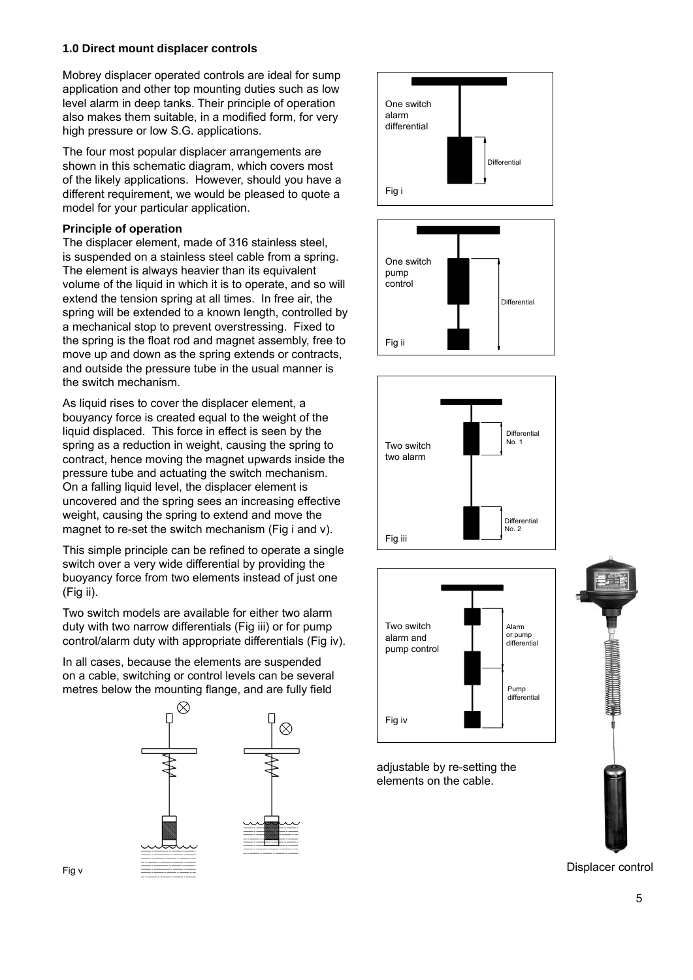### **1.0 Direct mount displacer controls**

Mobrey displacer operated controls are ideal for sump application and other top mounting duties such as low level alarm in deep tanks. Their principle of operation also makes them suitable, in a modified form, for very high pressure or low S.G. applications.

The four most popular displacer arrangements are shown in this schematic diagram, which covers most of the likely applications. However, should you have a different requirement, we would be pleased to quote a model for your particular application.

### **Principle of operation**

The displacer element, made of 316 stainless steel, is suspended on a stainless steel cable from a spring. The element is always heavier than its equivalent volume of the liquid in which it is to operate, and so will extend the tension spring at all times. In free air, the spring will be extended to a known length, controlled by a mechanical stop to prevent overstressing. Fixed to the spring is the float rod and magnet assembly, free to move up and down as the spring extends or contracts, and outside the pressure tube in the usual manner is the switch mechanism.

As liquid rises to cover the displacer element, a bouyancy force is created equal to the weight of the liquid displaced. This force in effect is seen by the spring as a reduction in weight, causing the spring to contract, hence moving the magnet upwards inside the pressure tube and actuating the switch mechanism. On a falling liquid level, the displacer element is uncovered and the spring sees an increasing effective weight, causing the spring to extend and move the magnet to re-set the switch mechanism (Fig i and v).

This simple principle can be refined to operate a single switch over a very wide differential by providing the buoyancy force from two elements instead of just one (Fig ii).

Two switch models are available for either two alarm duty with two narrow differentials (Fig iii) or for pump control/alarm duty with appropriate differentials (Fig iv).

In all cases, because the elements are suspended on a cable, switching or control levels can be several metres below the mounting flange, and are fully field











adjustable by re-setting the elements on the cable.



Displacer control

Fig v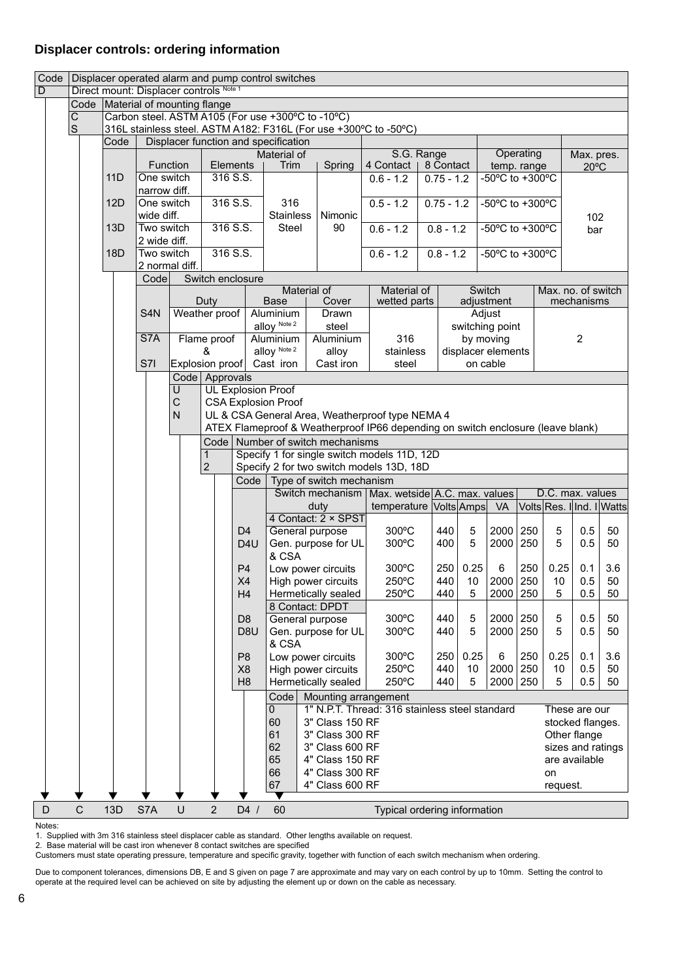### **Displacer controls: ordering information**

| Code           |              |              |      | Displacer operated alarm and pump control switches<br>Direct mount: Displacer controls Note 1 |              |                  |                  |                                                                                                                                    |                                                                  |                                                    |                              |  |                           |                 |                                |                  |                         |                   |     |
|----------------|--------------|--------------|------|-----------------------------------------------------------------------------------------------|--------------|------------------|------------------|------------------------------------------------------------------------------------------------------------------------------------|------------------------------------------------------------------|----------------------------------------------------|------------------------------|--|---------------------------|-----------------|--------------------------------|------------------|-------------------------|-------------------|-----|
| $\overline{D}$ |              |              |      |                                                                                               |              |                  |                  |                                                                                                                                    |                                                                  |                                                    |                              |  |                           |                 |                                |                  |                         |                   |     |
|                |              |              |      | Code   Material of mounting flange                                                            |              |                  |                  |                                                                                                                                    |                                                                  |                                                    |                              |  |                           |                 |                                |                  |                         |                   |     |
|                | С            |              |      |                                                                                               |              |                  |                  | Carbon steel. ASTM A105 (For use +300°C to -10°C)                                                                                  |                                                                  |                                                    |                              |  |                           |                 |                                |                  |                         |                   |     |
|                | $\mathsf{S}$ |              |      |                                                                                               |              |                  |                  |                                                                                                                                    | 316L stainless steel. ASTM A182: F316L (For use +300°C to -50°C) |                                                    |                              |  |                           |                 |                                |                  |                         |                   |     |
|                |              |              | Code |                                                                                               |              |                  |                  | Displacer function and specification                                                                                               |                                                                  |                                                    |                              |  |                           |                 |                                |                  |                         |                   |     |
|                |              |              |      | Function                                                                                      |              | Elements         |                  | Material of                                                                                                                        |                                                                  |                                                    | S.G. Range                   |  |                           |                 | Operating                      |                  |                         | Max. pres.        |     |
|                |              |              | 11D  | One switch                                                                                    |              | 316 S.S.         |                  | Trim                                                                                                                               | Spring                                                           |                                                    | 4 Contact $ $<br>$0.6 - 1.2$ |  | 8 Contact<br>$0.75 - 1.2$ |                 | temp. range<br>-50°C to +300°C |                  |                         | $20^{\circ}$ C    |     |
|                |              |              |      | narrow diff.                                                                                  |              |                  |                  |                                                                                                                                    |                                                                  |                                                    |                              |  |                           |                 |                                |                  |                         |                   |     |
|                |              |              | 12D  | One switch                                                                                    |              | 316 S.S.         |                  | 316                                                                                                                                |                                                                  |                                                    | $0.5 - 1.2$                  |  | $0.75 - 1.2$              |                 | -50°C to +300°C                |                  |                         |                   |     |
|                |              |              |      | wide diff.                                                                                    |              |                  |                  | <b>Stainless</b>                                                                                                                   | Nimonic                                                          |                                                    |                              |  |                           |                 |                                |                  |                         | 102               |     |
|                |              |              | 13D  | Two switch                                                                                    |              | 316 S.S.         |                  | Steel                                                                                                                              | 90                                                               |                                                    | $0.6 - 1.2$                  |  | $0.8 - 1.2$               |                 | -50°C to +300°C                |                  |                         | bar               |     |
|                |              |              |      | 2 wide diff.                                                                                  |              |                  |                  |                                                                                                                                    |                                                                  |                                                    |                              |  |                           |                 |                                |                  |                         |                   |     |
|                |              |              | 18D  | Two switch                                                                                    |              | 316 S.S.         |                  |                                                                                                                                    |                                                                  |                                                    | $0.6 - 1.2$                  |  | $0.8 - 1.2$               |                 | -50°C to +300°C                |                  |                         |                   |     |
|                |              |              |      | 2 normal diff.                                                                                |              |                  |                  |                                                                                                                                    |                                                                  |                                                    |                              |  |                           |                 |                                |                  |                         |                   |     |
|                |              |              |      | Code                                                                                          |              | Switch enclosure |                  |                                                                                                                                    |                                                                  |                                                    |                              |  |                           |                 |                                |                  |                         |                   |     |
|                |              |              |      |                                                                                               |              |                  |                  | Material of                                                                                                                        |                                                                  |                                                    | Material of                  |  |                           | Switch          |                                |                  | Max. no. of switch      |                   |     |
|                |              |              |      |                                                                                               |              | Duty             |                  | <b>Base</b>                                                                                                                        | Cover                                                            |                                                    | wetted parts                 |  |                           |                 | adjustment                     |                  |                         | mechanisms        |     |
|                |              |              |      | S <sub>4</sub> N                                                                              |              | Weather proof    |                  | Aluminium                                                                                                                          | Drawn                                                            |                                                    |                              |  |                           |                 | Adjust                         |                  |                         |                   |     |
|                |              |              |      | S7A                                                                                           |              |                  |                  | alloy Note 2                                                                                                                       | steel                                                            |                                                    |                              |  |                           |                 | switching point                |                  |                         |                   |     |
|                |              |              |      |                                                                                               |              | Flame proof<br>& |                  | Aluminium<br>alloy Note 2                                                                                                          | Aluminium<br>alloy                                               |                                                    | 316<br>stainless             |  |                           | by moving       | displacer elements             |                  |                         | $\overline{2}$    |     |
|                |              |              |      | S7I                                                                                           |              | Explosion proof  |                  | Cast iron                                                                                                                          | Cast iron                                                        |                                                    | steel                        |  |                           | on cable        |                                |                  |                         |                   |     |
|                |              |              |      |                                                                                               |              | Code Approvals   |                  |                                                                                                                                    |                                                                  |                                                    |                              |  |                           |                 |                                |                  |                         |                   |     |
|                |              |              |      |                                                                                               | U            |                  |                  | <b>UL Explosion Proof</b>                                                                                                          |                                                                  |                                                    |                              |  |                           |                 |                                |                  |                         |                   |     |
|                |              |              |      |                                                                                               | С            |                  |                  | <b>CSA Explosion Proof</b>                                                                                                         |                                                                  |                                                    |                              |  |                           |                 |                                |                  |                         |                   |     |
|                |              |              |      |                                                                                               | $\mathsf{N}$ |                  |                  |                                                                                                                                    |                                                                  |                                                    |                              |  |                           |                 |                                |                  |                         |                   |     |
|                |              |              |      |                                                                                               |              |                  |                  | UL & CSA General Area, Weatherproof type NEMA 4<br>ATEX Flameproof & Weatherproof IP66 depending on switch enclosure (leave blank) |                                                                  |                                                    |                              |  |                           |                 |                                |                  |                         |                   |     |
|                |              |              |      |                                                                                               |              |                  |                  |                                                                                                                                    | Code   Number of switch mechanisms                               |                                                    |                              |  |                           |                 |                                |                  |                         |                   |     |
|                |              |              |      |                                                                                               |              | 1                |                  |                                                                                                                                    | Specify 1 for single switch models 11D, 12D                      |                                                    |                              |  |                           |                 |                                |                  |                         |                   |     |
|                |              |              |      |                                                                                               |              | $\overline{2}$   |                  |                                                                                                                                    | Specify 2 for two switch models 13D, 18D                         |                                                    |                              |  |                           |                 |                                |                  |                         |                   |     |
|                |              |              |      |                                                                                               |              |                  | Code             |                                                                                                                                    | Type of switch mechanism                                         |                                                    |                              |  |                           |                 |                                |                  |                         |                   |     |
|                |              |              |      |                                                                                               |              |                  |                  |                                                                                                                                    |                                                                  | Switch mechanism   Max. wetside   A.C. max. values |                              |  |                           |                 |                                | D.C. max. values |                         |                   |     |
|                |              |              |      |                                                                                               |              |                  |                  |                                                                                                                                    | duty                                                             |                                                    | temperature Volts Amps VA    |  |                           |                 |                                |                  | VoltsRes. Illnd. IWatts |                   |     |
|                |              |              |      |                                                                                               |              |                  |                  |                                                                                                                                    | 4 Contact: 2 × SPST                                              |                                                    |                              |  |                           |                 |                                |                  |                         |                   |     |
|                |              |              |      |                                                                                               |              |                  | D <sub>4</sub>   |                                                                                                                                    | General purpose                                                  |                                                    | $300^{\circ}$ C              |  | 440                       | 5               | 2000                           | 250              | 5                       | 0.5               | 50  |
|                |              |              |      |                                                                                               |              |                  | D <sub>4</sub> U |                                                                                                                                    | Gen. purpose for UL                                              |                                                    | 300°C                        |  | 400                       | 5               | 2000                           | 250              | 5                       | 0.5               | 50  |
|                |              |              |      |                                                                                               |              |                  |                  | & CSA                                                                                                                              |                                                                  |                                                    |                              |  |                           |                 |                                |                  |                         |                   |     |
|                |              |              |      |                                                                                               |              |                  | P <sub>4</sub>   |                                                                                                                                    | Low power circuits                                               |                                                    | 300°C                        |  | 250                       | 0.25            | 6                              | 250              | 0.25                    | 0.1               | 3.6 |
|                |              |              |      |                                                                                               |              |                  | X4               |                                                                                                                                    | High power circuits                                              |                                                    | 250°C                        |  | 440                       | 10              | 2000                           | 250              | 10                      | 0.5<br>0.5        | 50  |
|                |              |              |      |                                                                                               |              |                  | H4               |                                                                                                                                    | <b>Hermetically sealed</b><br>8 Contact: DPDT                    |                                                    | 250°C                        |  | 440                       | $5\overline{)}$ | 2000 250                       |                  | 5                       |                   | 50  |
|                |              |              |      |                                                                                               |              |                  | D <sub>8</sub>   |                                                                                                                                    | General purpose                                                  |                                                    | 300°C                        |  | 440                       | 5               | 2000                           | 250              | 5                       | 0.5               | 50  |
|                |              |              |      |                                                                                               |              |                  | D <sub>8U</sub>  |                                                                                                                                    | Gen. purpose for UL                                              |                                                    | 300°C                        |  | 440                       | 5               | 2000                           | 250              | 5                       | 0.5               | 50  |
|                |              |              |      |                                                                                               |              |                  |                  | & CSA                                                                                                                              |                                                                  |                                                    |                              |  |                           |                 |                                |                  |                         |                   |     |
|                |              |              |      |                                                                                               |              |                  | P <sub>8</sub>   |                                                                                                                                    | Low power circuits                                               |                                                    | $300^{\circ}$ C              |  | 250                       | 0.25            | 6                              | 250              | 0.25                    | 0.1               | 3.6 |
|                |              |              |      |                                                                                               |              |                  | X <sub>8</sub>   |                                                                                                                                    | High power circuits                                              |                                                    | 250°C                        |  | 440                       | 10              | 2000                           | 250              | 10                      | 0.5               | 50  |
|                |              |              |      |                                                                                               |              |                  | H <sub>8</sub>   |                                                                                                                                    | Hermetically sealed                                              |                                                    | 250°C                        |  | 440                       | 5               | 2000                           | 250              | 5                       | 0.5               | 50  |
|                |              |              |      |                                                                                               |              |                  |                  | Code                                                                                                                               | Mounting arrangement                                             |                                                    |                              |  |                           |                 |                                |                  |                         |                   |     |
|                |              |              |      |                                                                                               |              |                  |                  | $\mathbf 0$                                                                                                                        | 1" N.P.T. Thread: 316 stainless steel standard                   |                                                    |                              |  |                           |                 |                                |                  |                         | These are our     |     |
|                |              |              |      |                                                                                               |              |                  |                  | 60                                                                                                                                 | 3" Class 150 RF                                                  |                                                    |                              |  |                           |                 |                                |                  |                         | stocked flanges.  |     |
|                |              |              |      |                                                                                               |              |                  |                  | 61                                                                                                                                 | 3" Class 300 RF                                                  |                                                    |                              |  |                           |                 |                                |                  |                         | Other flange      |     |
|                |              |              |      |                                                                                               |              |                  |                  | 62                                                                                                                                 | 3" Class 600 RF                                                  |                                                    |                              |  |                           |                 |                                |                  |                         | sizes and ratings |     |
|                |              |              |      |                                                                                               |              |                  |                  | 65                                                                                                                                 | 4" Class 150 RF                                                  |                                                    |                              |  |                           |                 |                                |                  |                         | are available     |     |
|                |              |              |      |                                                                                               |              |                  |                  | 66                                                                                                                                 | 4" Class 300 RF                                                  |                                                    |                              |  |                           |                 |                                |                  | on                      |                   |     |
|                |              |              |      |                                                                                               |              |                  |                  | 67                                                                                                                                 | 4" Class 600 RF                                                  |                                                    |                              |  |                           |                 |                                |                  | request.                |                   |     |
|                |              |              |      |                                                                                               |              |                  |                  | ▼                                                                                                                                  |                                                                  |                                                    |                              |  |                           |                 |                                |                  |                         |                   |     |
| D              |              | $\mathsf{C}$ | 13D  | U<br>$\overline{2}$<br>$D4$ /<br>S7A<br>60<br>Typical ordering information                    |              |                  |                  |                                                                                                                                    |                                                                  |                                                    |                              |  |                           |                 |                                |                  |                         |                   |     |

Notes:

1. Supplied with 3m 316 stainless steel displacer cable as standard. Other lengths available on request.

2. Base material will be cast iron whenever 8 contact switches are specified

Customers must state operating pressure, temperature and specific gravity, together with function of each switch mechanism when ordering.

Due to component tolerances, dimensions DB, E and S given on page 7 are approximate and may vary on each control by up to 10mm. Setting the control to operate at the required level can be achieved on site by adjusting the element up or down on the cable as necessary.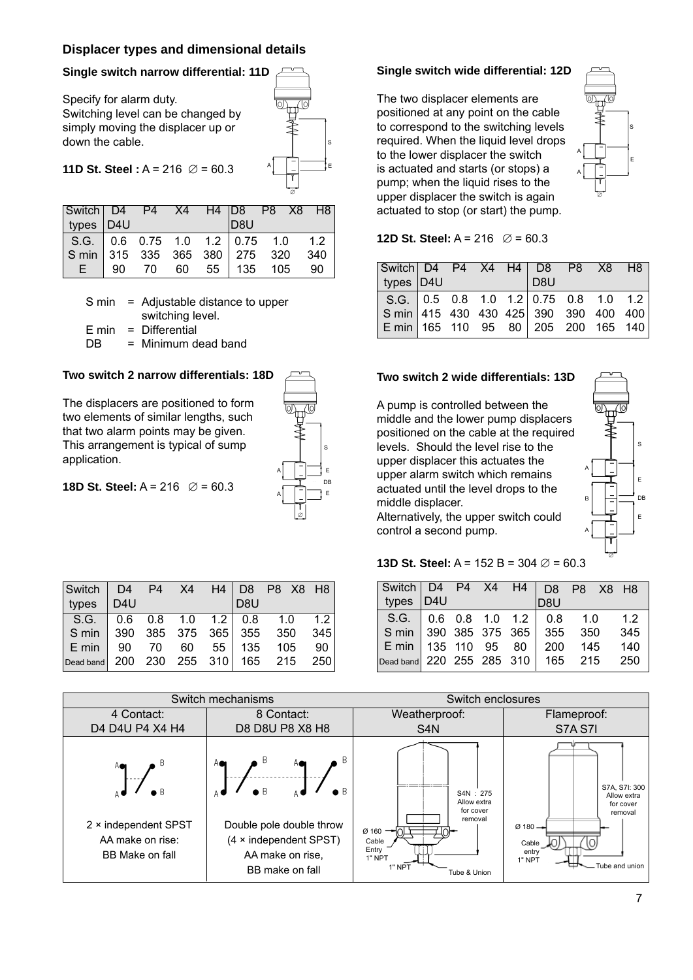### **Displacer types and dimensional details**

### **Single switch narrow differential: 11D**

Specify for alarm duty. Switching level can be changed by simply moving the displacer up or down the cable.



### **11D St. Steel :**  $A = 216$   $\varnothing = 60.3$

| Switch D4 P4 X4 H4 D8 P8 X8 H8                                          |                          |  |     |  |  |
|-------------------------------------------------------------------------|--------------------------|--|-----|--|--|
| types D4U                                                               |                          |  | D8U |  |  |
| S.G. 0.6 0.75 1.0 1.2 0.75 1.0 1.2<br>S min 315 335 365 380 275 320 340 |                          |  |     |  |  |
|                                                                         |                          |  |     |  |  |
|                                                                         | E 90 70 60 55 135 105 90 |  |     |  |  |

- S min = Adjustable distance to upper switching level.
- $E \text{ min} = Differential$
- $DB = Minimum dead$  band

### **Two switch 2 narrow differentials: 18D**

The displacers are positioned to form two elements of similar lengths, such that two alarm points may be given. This arrangement is typical of sump application.



#### **18D St. Steel:**  $A = 216$   $\varnothing = 60.3$

| $\vert$ Switch $\vert$ D4 P4 X4 H4 D8 P8 X8 H8       |     |  |                 |  |      |
|------------------------------------------------------|-----|--|-----------------|--|------|
| types                                                | D4U |  | D <sub>8U</sub> |  |      |
| $\vert$ S.G. $\vert$ 0.6 0.8 1.0 1.2 $\vert$ 0.8 1.0 |     |  |                 |  | 1.2  |
| Smin 390 385 375 365 355 350                         |     |  |                 |  | 345  |
| E min   90 70 60 55   135 105                        |     |  |                 |  | - 90 |
| Dead band 200 230 255 310 165 215 250                |     |  |                 |  |      |

### **Single switch wide differential: 12D**

The two displacer elements are positioned at any point on the cable to correspond to the switching levels required. When the liquid level drops to the lower displacer the switch is actuated and starts (or stops) a pump; when the liquid rises to the upper displacer the switch is again actuated to stop (or start) the pump.



#### **12D St. Steel:**  $A = 216$   $\varnothing = 60.3$

| Switch D4 P4 X4 H4 D8 P8 X8 H8                           |  |  |     |  |  |
|----------------------------------------------------------|--|--|-----|--|--|
| types $D4U$                                              |  |  | D8U |  |  |
|                                                          |  |  |     |  |  |
| $\vert$ S min 415 430 430 425 390 390 400 400            |  |  |     |  |  |
| $E \min   165 \t110 \t95 \t80   205 \t200 \t165 \t140  $ |  |  |     |  |  |

### **Two switch 2 wide differentials: 13D**

A pump is controlled between the middle and the lower pump displacers positioned on the cable at the required levels. Should the level rise to the upper displacer this actuates the upper alarm switch which remains actuated until the level drops to the middle displacer.

Alternatively, the upper switch could control a second pump.



### **13D St. Steel:** A = 152 B = 304  $\varnothing$  = 60.3

| Switch D4 P4 X4 H4 D8 P8 X8 H8    |  |  |                                              |         |     |
|-----------------------------------|--|--|----------------------------------------------|---------|-----|
| types   D4U                       |  |  | D <sub>8</sub> U                             |         |     |
|                                   |  |  | S.G. $\vert$ 0.6 0.8 1.0 1.2 $\vert$ 0.8 1.0 |         | 1.2 |
|                                   |  |  | S min 390 385 375 365 355 350                |         | 345 |
| E min   135 110 95 80             |  |  |                                              | 200 145 | 140 |
| Dead band 220 255 285 310 165 215 |  |  |                                              |         | 250 |

|                                                                          | Switch mechanisms                                                                                                                 | Switch enclosures                                                                                              |                                                                                                                                       |
|--------------------------------------------------------------------------|-----------------------------------------------------------------------------------------------------------------------------------|----------------------------------------------------------------------------------------------------------------|---------------------------------------------------------------------------------------------------------------------------------------|
| 4 Contact:                                                               | 8 Contact:                                                                                                                        | Weatherproof:                                                                                                  | Flameproof:                                                                                                                           |
| D4 D4U P4 X4 H4                                                          | D8 D8U P8 X8 H8                                                                                                                   | S <sub>4</sub> N                                                                                               | <b>S7A S7I</b>                                                                                                                        |
| Ae<br>A C<br>2 × independent SPST<br>AA make on rise:<br>BB Make on fall | В<br>A®<br>$\bullet$ $\theta$<br>Double pole double throw<br>$(4 \times independent SPST)$<br>AA make on rise,<br>BB make on fall | S4N: 275<br>Allow extra<br>for cover<br>removal<br>Ø 160<br>Cable<br>Entry<br>1" NPT<br>1" NPT<br>Tube & Union | S7A, S7I: 300<br>Allow extra<br>for cover<br>removal<br>$\varnothing$ 180 $\rightarrow$<br>Cable<br>entry<br>1" NPT<br>Tube and union |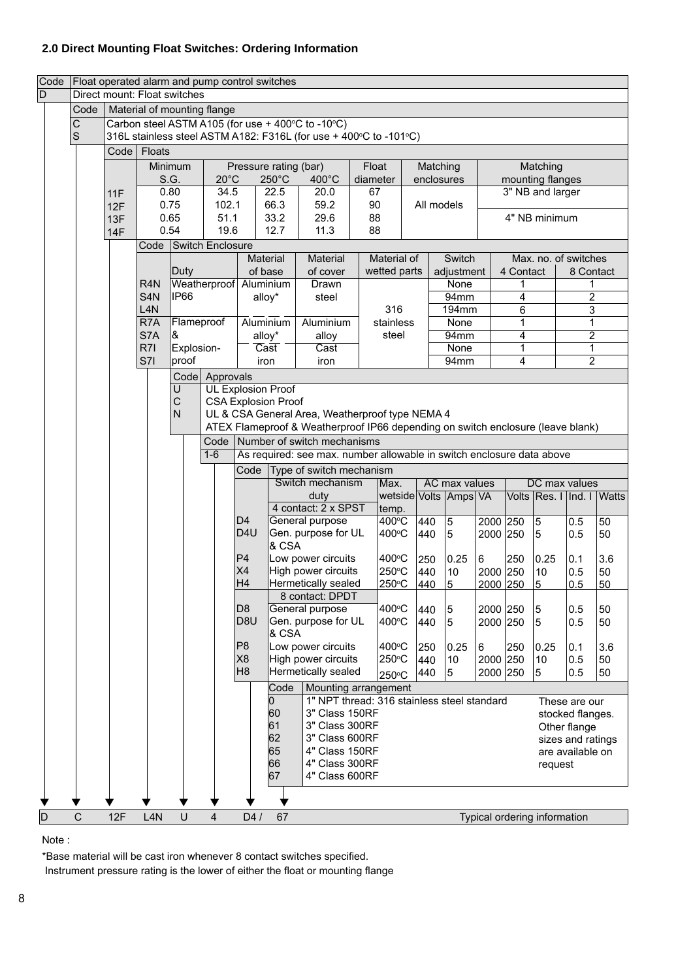## **2.0 Direct Mounting Float Switches: Ordering Information**

| Code           |                |            | Float operated alarm and pump control switches<br>Direct mount: Float switches |                |                             |                                                                                                                       |                          |                                                                       |          |                  |            |                       |               |              |                              |                      |           |
|----------------|----------------|------------|--------------------------------------------------------------------------------|----------------|-----------------------------|-----------------------------------------------------------------------------------------------------------------------|--------------------------|-----------------------------------------------------------------------|----------|------------------|------------|-----------------------|---------------|--------------|------------------------------|----------------------|-----------|
| $\overline{D}$ |                |            |                                                                                |                |                             |                                                                                                                       |                          |                                                                       |          |                  |            |                       |               |              |                              |                      |           |
|                | Code           |            |                                                                                |                | Material of mounting flange |                                                                                                                       |                          |                                                                       |          |                  |            |                       |               |              |                              |                      |           |
|                | С              |            |                                                                                |                |                             |                                                                                                                       |                          | Carbon steel ASTM A105 (for use + 400°C to -10°C)                     |          |                  |            |                       |               |              |                              |                      |           |
|                | $\mathbf S$    |            |                                                                                |                |                             |                                                                                                                       |                          | 316L stainless steel ASTM A182: F316L (for use + 400°C to -101°C)     |          |                  |            |                       |               |              |                              |                      |           |
|                |                |            | Code   Floats                                                                  |                |                             |                                                                                                                       |                          |                                                                       |          |                  |            |                       |               |              |                              |                      |           |
|                |                |            |                                                                                | Minimum        |                             |                                                                                                                       | Pressure rating (bar)    |                                                                       | Float    |                  | Matching   |                       |               |              | Matching                     |                      |           |
|                |                |            |                                                                                | S.G.           | $20^{\circ}$ C              |                                                                                                                       | $250^{\circ}$ C          | 400°C                                                                 | diameter |                  | enclosures |                       |               |              | mounting flanges             |                      |           |
|                |                | 11F        |                                                                                | 0.80<br>0.75   | 34.5<br>102.1               |                                                                                                                       | 22.5<br>66.3             | 20.0<br>59.2                                                          | 67<br>90 |                  | All models |                       |               |              |                              | 3" NB and larger     |           |
|                |                | 12F<br>13F |                                                                                | 0.65           | 51.1                        |                                                                                                                       | 33.2                     | 29.6                                                                  | 88       |                  |            |                       | 4" NB minimum |              |                              |                      |           |
|                |                | <b>14F</b> |                                                                                | 0.54           | 19.6                        |                                                                                                                       | 12.7                     | 11.3                                                                  | 88       |                  |            |                       |               |              |                              |                      |           |
|                |                |            | Code                                                                           |                | Switch Enclosure            |                                                                                                                       |                          |                                                                       |          |                  |            |                       |               |              |                              |                      |           |
|                |                |            |                                                                                |                |                             | Material                                                                                                              |                          | Material                                                              |          | Material of      |            | Switch                |               |              |                              | Max. no. of switches |           |
|                |                |            |                                                                                | Duty           |                             | of base                                                                                                               |                          | of cover                                                              |          | wetted parts     |            | adjustment            |               | 4 Contact    |                              | 8 Contact            |           |
|                |                |            | R <sub>4</sub> N                                                               |                | Weatherproof Aluminium      |                                                                                                                       |                          | Drawn                                                                 |          |                  |            | <b>None</b>           |               | 1            |                              |                      |           |
|                |                |            | S <sub>4</sub> N                                                               | IP66           |                             | alloy*                                                                                                                |                          | steel                                                                 |          |                  |            | 94mm                  |               | 4            |                              | $\overline{2}$       |           |
|                |                |            | L4N<br>R <sub>7</sub> A                                                        | Flameproof     |                             |                                                                                                                       | Aluminium                | Aluminium                                                             |          | 316<br>stainless |            | 194mm<br>None         |               | 6<br>1       |                              | 3<br>$\mathbf{1}$    |           |
|                |                |            | S7A                                                                            | &              |                             | alloy*                                                                                                                |                          | alloy                                                                 |          | steel            |            | 94mm                  |               | 4            |                              | $\overline{2}$       |           |
|                |                |            | R7I                                                                            | Explosion-     |                             |                                                                                                                       | $\overline{\text{Cast}}$ | Cast                                                                  |          |                  |            | None                  |               | $\mathbf{1}$ |                              | 1                    |           |
|                |                |            | S7I                                                                            | proof          |                             | iron                                                                                                                  |                          | iron                                                                  |          |                  |            | 94mm                  |               | 4            |                              | $\overline{2}$       |           |
|                |                |            |                                                                                |                | Code Approvals              |                                                                                                                       |                          |                                                                       |          |                  |            |                       |               |              |                              |                      |           |
|                |                |            |                                                                                | $\overline{U}$ | <b>UL Explosion Proof</b>   |                                                                                                                       |                          |                                                                       |          |                  |            |                       |               |              |                              |                      |           |
|                |                |            |                                                                                | $\mathsf C$    | <b>CSA Explosion Proof</b>  |                                                                                                                       |                          |                                                                       |          |                  |            |                       |               |              |                              |                      |           |
|                |                |            |                                                                                | $\mathsf{N}$   |                             |                                                                                                                       |                          | UL & CSA General Area, Weatherproof type NEMA 4                       |          |                  |            |                       |               |              |                              |                      |           |
|                |                |            |                                                                                |                |                             | ATEX Flameproof & Weatherproof IP66 depending on switch enclosure (leave blank)<br>Code   Number of switch mechanisms |                          |                                                                       |          |                  |            |                       |               |              |                              |                      |           |
|                |                |            |                                                                                |                | $1-6$                       |                                                                                                                       |                          | As required: see max. number allowable in switch enclosure data above |          |                  |            |                       |               |              |                              |                      |           |
|                |                |            |                                                                                |                |                             |                                                                                                                       |                          |                                                                       |          |                  |            |                       |               |              |                              |                      |           |
|                |                |            |                                                                                |                |                             | Code                                                                                                                  |                          | Type of switch mechanism<br>Switch mechanism                          |          | Max.             |            | AC max values         |               |              | DC max values                |                      |           |
|                |                |            |                                                                                |                |                             |                                                                                                                       |                          | duty                                                                  |          |                  |            | wetside Volts Amps VA |               |              | Volts Res. I Ind. I Watts    |                      |           |
|                |                |            |                                                                                |                |                             |                                                                                                                       |                          | 4 contact: 2 x SPST                                                   |          | temp.            |            |                       |               |              |                              |                      |           |
|                |                |            |                                                                                |                |                             | D <sub>4</sub>                                                                                                        |                          | General purpose                                                       |          | 400°C            | 440        | 5                     | 2000 250      |              | $\mathbf 5$                  | 0.5                  | 50        |
|                |                |            |                                                                                |                |                             | D4U                                                                                                                   |                          | Gen. purpose for UL                                                   |          | 400°C            | 440        | 5                     | 2000 250      |              | 5                            | 0.5                  | 50        |
|                |                |            |                                                                                |                |                             | P4                                                                                                                    | & CSA                    |                                                                       |          |                  |            |                       |               |              |                              |                      |           |
|                |                |            |                                                                                |                |                             | X4                                                                                                                    |                          | Low power circuits<br>High power circuits                             |          | 400°C<br>250°C   | 250<br>440 | 0.25<br>10            | 6<br>2000 250 | 250          | 0.25<br>10                   | 0.1<br>0.5           | 3.6<br>50 |
|                |                |            |                                                                                |                |                             | H <sub>4</sub>                                                                                                        |                          | Hermetically sealed                                                   |          | 250°C            | 440        | 5                     | 2000 250      |              | 5                            | 0.5                  | 50        |
|                |                |            |                                                                                |                |                             |                                                                                                                       |                          | 8 contact: DPDT                                                       |          |                  |            |                       |               |              |                              |                      |           |
|                |                |            |                                                                                |                |                             | D <sub>8</sub>                                                                                                        |                          | General purpose                                                       |          | 400°C            | 440        | 5                     | 2000 250      |              | 5                            | 0.5                  | 50        |
|                |                |            |                                                                                |                |                             | D8U                                                                                                                   |                          | Gen. purpose for UL                                                   |          | 400°C            | 440        | 5                     | 2000 250      |              | 5                            | 0.5                  | 50        |
|                |                |            |                                                                                |                |                             | P8                                                                                                                    | & CSA                    | Low power circuits                                                    |          |                  |            |                       |               |              |                              |                      |           |
|                |                |            |                                                                                |                |                             | X8                                                                                                                    |                          | High power circuits                                                   |          | 400°C<br>250°C   | 250<br>440 | 0.25 <br>$10$         | 6<br>2000 250 | 250          | 0.25<br>10                   | 0.1<br>0.5           | 3.6<br>50 |
|                |                |            |                                                                                |                |                             | H <sub>8</sub>                                                                                                        |                          | Hermetically sealed                                                   |          | 250°C            | 440        | 5                     | 2000 250      |              | 5                            | 0.5                  | 50        |
|                |                |            |                                                                                |                |                             |                                                                                                                       | Code                     | Mounting arrangement                                                  |          |                  |            |                       |               |              |                              |                      |           |
|                |                |            |                                                                                |                |                             |                                                                                                                       | 0                        | 1" NPT thread: 316 stainless steel standard                           |          |                  |            |                       |               |              |                              | These are our        |           |
|                |                |            |                                                                                |                |                             |                                                                                                                       | 60                       | 3" Class 150RF                                                        |          |                  |            |                       |               |              |                              | stocked flanges.     |           |
|                |                |            |                                                                                |                |                             |                                                                                                                       | 61                       | 3" Class 300RF                                                        |          |                  |            |                       |               |              |                              | Other flange         |           |
|                |                |            |                                                                                |                |                             |                                                                                                                       | 62                       | 3" Class 600RF                                                        |          |                  |            |                       |               |              |                              | sizes and ratings    |           |
|                |                |            |                                                                                |                |                             |                                                                                                                       | 65<br>66                 | 4" Class 150RF<br>4" Class 300RF                                      |          |                  |            |                       |               |              |                              | are available on     |           |
|                |                |            |                                                                                |                |                             |                                                                                                                       | 67                       | 4" Class 600RF                                                        |          |                  |            |                       |               |              | request                      |                      |           |
|                |                |            |                                                                                |                |                             |                                                                                                                       |                          |                                                                       |          |                  |            |                       |               |              |                              |                      |           |
|                |                |            |                                                                                |                |                             |                                                                                                                       |                          |                                                                       |          |                  |            |                       |               |              |                              |                      |           |
| D              | $\overline{C}$ | 12F        | L <sub>4</sub> N                                                               | $\cup$         | $\overline{4}$              | D4/                                                                                                                   | 67                       |                                                                       |          |                  |            |                       |               |              | Typical ordering information |                      |           |

Note :

\*Base material will be cast iron whenever 8 contact switches specified.

Instrument pressure rating is the lower of either the float or mounting flange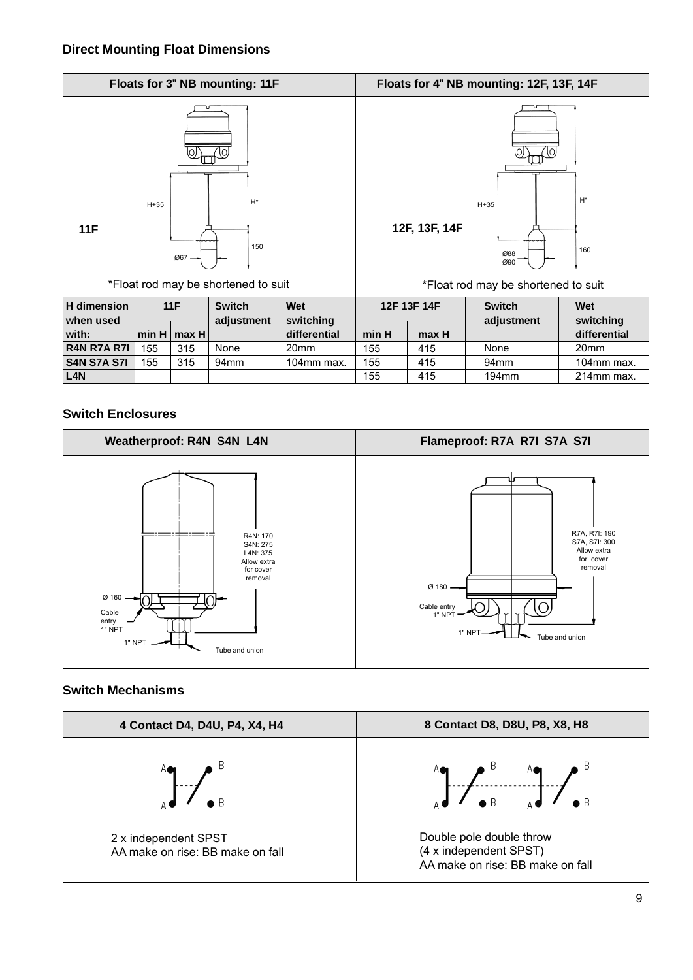### **Direct Mounting Float Dimensions**

|                    |        |        | Floats for 3" NB mounting: 11F      |                           |                                              |               | Floats for 4" NB mounting: 12F, 13F, 14F |                  |  |
|--------------------|--------|--------|-------------------------------------|---------------------------|----------------------------------------------|---------------|------------------------------------------|------------------|--|
| 11F                | $H+35$ | $Ø67-$ | $H^*$<br>150                        |                           |                                              | 12F, 13F, 14F | $H+35$<br>Ø88<br>Ø90                     | $H^*$<br>160     |  |
|                    |        |        | *Float rod may be shortened to suit |                           |                                              |               | *Float rod may be shortened to suit      |                  |  |
| <b>H</b> dimension |        | 11F    | <b>Switch</b>                       | <b>Wet</b>                |                                              | 12F 13F 14F   | <b>Switch</b>                            | Wet<br>switching |  |
| when used<br>with: | min H  | max H  | adjustment                          | switching<br>differential | adjustment<br>min H<br>differential<br>max H |               |                                          |                  |  |
| <b>R4N R7A R7I</b> | 155    | 315    | None                                | 20 <sub>mm</sub>          | 155<br>415                                   |               | None                                     | 20 <sub>mm</sub> |  |
| <b>S4N S7A S7I</b> | 155    | 315    | 94 <sub>mm</sub>                    | 104mm max.                | 155                                          | 415           | 94 <sub>mm</sub>                         | 104mm max.       |  |
| L <sub>4</sub> N   |        |        |                                     |                           | 155<br>415<br>194mm<br>214mm max.            |               |                                          |                  |  |

### **Switch Enclosures**



### **Switch Mechanisms**

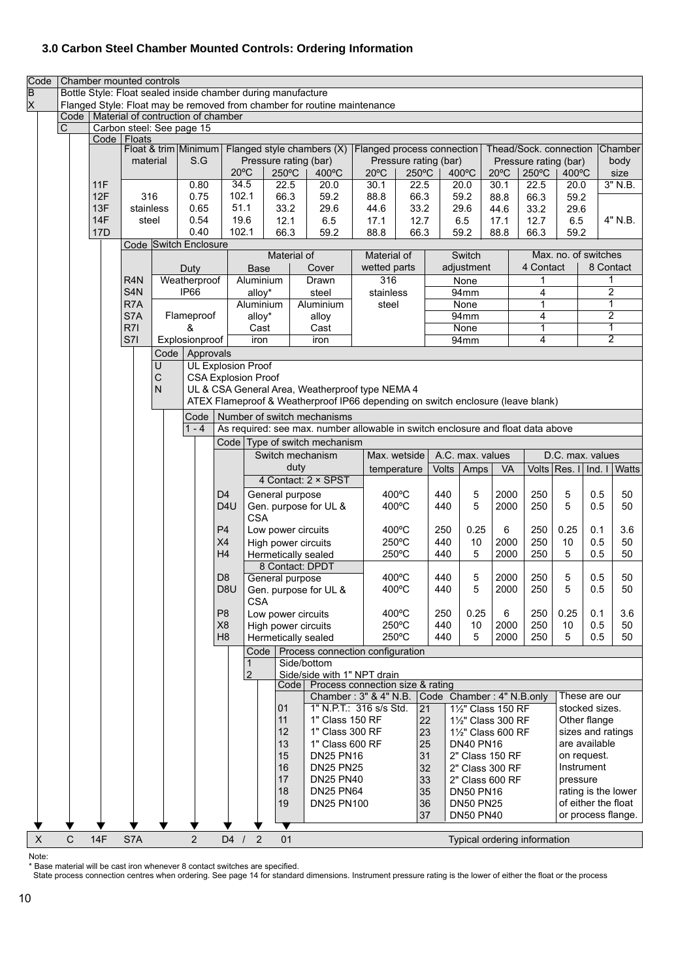### **3.0 Carbon Steel Chamber Mounted Controls: Ordering Information**

| Code<br>$\overline{\mathsf{B}}$ |             |            | Chamber mounted controls                   |                  |                                           |                  |                     |              | Bottle Style: Float sealed inside chamber during manufacture                    |                            |                             |          |                                    |                |                        |                      |                           |                           |
|---------------------------------|-------------|------------|--------------------------------------------|------------------|-------------------------------------------|------------------|---------------------|--------------|---------------------------------------------------------------------------------|----------------------------|-----------------------------|----------|------------------------------------|----------------|------------------------|----------------------|---------------------------|---------------------------|
| X                               |             |            |                                            |                  |                                           |                  |                     |              | Flanged Style: Float may be removed from chamber for routine maintenance        |                            |                             |          |                                    |                |                        |                      |                           |                           |
|                                 |             |            |                                            |                  | Code   Material of contruction of chamber |                  |                     |              |                                                                                 |                            |                             |          |                                    |                |                        |                      |                           |                           |
|                                 | $\mathbf C$ |            | Carbon steel: See page 15<br>Code   Floats |                  |                                           |                  |                     |              |                                                                                 |                            |                             |          |                                    |                |                        |                      |                           |                           |
|                                 |             |            |                                            |                  | Float & trim Minimum                      |                  |                     |              | Flanged style chambers (X)                                                      | Flanged process connection |                             |          |                                    |                | Thead/Sock. connection |                      |                           | <b>Chamber</b>            |
|                                 |             |            | material                                   |                  | S.G                                       |                  |                     |              | Pressure rating (bar)                                                           |                            | Pressure rating (bar)       |          |                                    |                | Pressure rating (bar)  |                      |                           | body                      |
|                                 |             |            |                                            |                  |                                           |                  | $20^{\circ}$ C      | 250°C        | $400^{\circ}$ C                                                                 | $20^{\circ}$ C             | 250°C                       |          | $400^{\circ}$ C                    | $20^{\circ}$ C | 250°C                  | 400°C                |                           | size                      |
|                                 |             | 11F        |                                            |                  | 0.80                                      |                  | 34.5                | 22.5         | 20.0                                                                            | 30.1                       | 22.5                        |          | 20.0                               | 30.1           | 22.5                   | 20.0                 |                           | 3" N.B.                   |
|                                 |             | 12F<br>13F | 316<br>stainless                           |                  | 0.75<br>0.65                              |                  | 102.1<br>51.1       | 66.3<br>33.2 | 59.2<br>29.6                                                                    | 88.8<br>44.6               | 66.3<br>33.2                |          | 59.2<br>29.6                       | 88.8<br>44.6   | 66.3<br>33.2           | 59.2<br>29.6         |                           |                           |
|                                 |             | 14F        | steel                                      |                  | 0.54                                      |                  | 19.6                | 12.1         | 6.5                                                                             | 17.1                       | 12.7                        |          | 6.5                                | 17.1           | 12.7                   | 6.5                  |                           | 4" N.B.                   |
|                                 |             | 17D        |                                            |                  | 0.40                                      |                  | 102.1               | 66.3         | 59.2                                                                            | 88.8                       | 66.3                        |          | 59.2                               | 88.8           | 66.3                   | 59.2                 |                           |                           |
|                                 |             |            |                                            |                  | Code Switch Enclosure                     |                  |                     |              |                                                                                 |                            |                             |          |                                    |                |                        |                      |                           |                           |
|                                 |             |            |                                            |                  |                                           |                  |                     | Material of  |                                                                                 | Material of                |                             |          | Switch                             |                |                        | Max. no. of switches |                           |                           |
|                                 |             |            |                                            |                  | Duty                                      |                  | Base                |              | Cover                                                                           | wetted parts               |                             |          | adjustment                         |                | 4 Contact              |                      |                           | 8 Contact                 |
|                                 |             |            | R <sub>4</sub> N                           |                  | Weatherproof<br>IP66                      |                  | Aluminium           |              | Drawn                                                                           | 316                        |                             |          | None                               |                | 1<br>4                 |                      | $\overline{2}$            |                           |
|                                 |             |            | S <sub>4</sub> N<br>R7A                    |                  |                                           |                  | alloy*<br>Aluminium |              | steel<br>Aluminium                                                              | stainless<br>steel         |                             |          | 94mm<br>None                       |                | 1                      |                      |                           | 1                         |
|                                 |             |            | S7A                                        |                  | Flameproof                                |                  | alloy*              |              | alloy                                                                           |                            |                             |          | 94mm                               |                | 4                      |                      |                           | $\overline{2}$            |
|                                 |             |            | R7I                                        |                  | &                                         |                  | Cast                |              | Cast                                                                            |                            |                             |          | None                               |                | 1                      |                      |                           | $\mathbf{1}$              |
|                                 |             |            | S7I                                        |                  | Explosionproof                            |                  | iron                |              | iron                                                                            |                            |                             |          | 94mm                               |                | 4                      |                      |                           | $\overline{2}$            |
|                                 |             |            |                                            | Code             | Approvals                                 |                  |                     |              |                                                                                 |                            |                             |          |                                    |                |                        |                      |                           |                           |
|                                 |             |            |                                            | U                | <b>UL Explosion Proof</b>                 |                  |                     |              |                                                                                 |                            |                             |          |                                    |                |                        |                      |                           |                           |
|                                 |             |            |                                            | $\mathsf C$<br>N | <b>CSA Explosion Proof</b>                |                  |                     |              | UL & CSA General Area, Weatherproof type NEMA 4                                 |                            |                             |          |                                    |                |                        |                      |                           |                           |
|                                 |             |            |                                            |                  |                                           |                  |                     |              | ATEX Flameproof & Weatherproof IP66 depending on switch enclosure (leave blank) |                            |                             |          |                                    |                |                        |                      |                           |                           |
|                                 |             |            |                                            |                  | Code                                      |                  |                     |              | Number of switch mechanisms                                                     |                            |                             |          |                                    |                |                        |                      |                           |                           |
|                                 |             |            |                                            |                  | $1 - 4$                                   |                  |                     |              | As required: see max. number allowable in switch enclosure and float data above |                            |                             |          |                                    |                |                        |                      |                           |                           |
|                                 |             |            |                                            |                  |                                           |                  |                     |              | Code   Type of switch mechanism                                                 |                            |                             |          |                                    |                |                        |                      |                           |                           |
|                                 |             |            |                                            |                  |                                           |                  |                     |              | Switch mechanism                                                                |                            | Max. wetside                |          | A.C. max. values                   |                |                        | D.C. max. values     |                           |                           |
|                                 |             |            |                                            |                  |                                           |                  |                     |              | duty                                                                            |                            | <b>Volts</b><br>temperature |          | Amps                               | VA             |                        |                      |                           | Volts Res. I Ind. I Watts |
|                                 |             |            |                                            |                  |                                           |                  |                     |              | 4 Contact: 2 × SPST                                                             |                            |                             |          |                                    |                |                        |                      |                           |                           |
|                                 |             |            |                                            |                  |                                           | D <sub>4</sub>   |                     |              | General purpose                                                                 |                            | $400^{\circ}$ C             | 440      | 5                                  | 2000           | 250                    | 5                    | 0.5                       | 50                        |
|                                 |             |            |                                            |                  |                                           | D <sub>4</sub> U |                     |              | Gen. purpose for UL &                                                           |                            | 400°C                       | 440      | 5                                  | 2000           | 250                    | 5                    | 0.5                       | 50                        |
|                                 |             |            |                                            |                  |                                           | P4               | <b>CSA</b>          |              | Low power circuits                                                              |                            | 400°C                       | 250      | 0.25                               | 6              | 250                    | 0.25                 | 0.1                       | 3.6                       |
|                                 |             |            |                                            |                  |                                           | X4               |                     |              | High power circuits                                                             |                            | 250°C                       | 440      | 10                                 | 2000           | 250                    | 10                   | 0.5                       | 50                        |
|                                 |             |            |                                            |                  |                                           | H4               |                     |              | Hermetically sealed                                                             |                            | 250°C                       | 440      | 5                                  | 2000           | 250                    | 5                    | 0.5                       | 50                        |
|                                 |             |            |                                            |                  |                                           |                  |                     |              | 8 Contact: DPDT                                                                 |                            |                             |          |                                    |                |                        |                      |                           |                           |
|                                 |             |            |                                            |                  |                                           | D <sub>8</sub>   |                     |              | General purpose                                                                 |                            | $400^{\circ}$ C             | 440      | 5                                  | 2000           | 250                    | 5                    | 0.5                       | 50                        |
|                                 |             |            |                                            |                  |                                           | D8U              |                     |              | Gen. purpose for UL &                                                           |                            | 400°C                       | 440      | 5                                  | 2000           | 250                    | 5                    | 0.5                       | 50                        |
|                                 |             |            |                                            |                  |                                           | P <sub>8</sub>   | <b>CSA</b>          |              |                                                                                 |                            | 400°C                       | 250      | 0.25                               | 6              | 250                    | 0.25                 | 0.1                       | 3.6                       |
|                                 |             |            |                                            |                  |                                           | X <sub>8</sub>   |                     |              | Low power circuits<br>High power circuits                                       |                            | 250°C                       | 440      | 10                                 | 2000           | 250                    | 10                   | 0.5                       | 50                        |
|                                 |             |            |                                            |                  |                                           | H <sub>8</sub>   |                     |              | Hermetically sealed                                                             |                            | 250°C                       | 440      | 5                                  | 2000           | 250                    | 5                    | 0.5                       | 50                        |
|                                 |             |            |                                            |                  |                                           |                  | Code                |              | Process connection configuration                                                |                            |                             |          |                                    |                |                        |                      |                           |                           |
|                                 |             |            |                                            |                  |                                           |                  | 1                   |              | Side/bottom                                                                     |                            |                             |          |                                    |                |                        |                      |                           |                           |
|                                 |             |            |                                            |                  |                                           |                  | 2                   |              | Side/side with 1" NPT drain<br>Process connection size & rating                 |                            |                             |          |                                    |                |                        |                      |                           |                           |
|                                 |             |            |                                            |                  |                                           |                  |                     |              | Code  <br>Chamber: 3" & 4" N.B.                                                 |                            |                             |          | Code Chamber: 4" N.B.only          |                |                        |                      | These are our             |                           |
|                                 |             |            |                                            |                  |                                           |                  |                     | 01           | 1" N.P.T.: 316 s/s Std.                                                         |                            | 21                          |          | 11/2" Class 150 RF                 |                |                        |                      | stocked sizes.            |                           |
|                                 |             |            |                                            |                  |                                           |                  |                     | 11           | 1" Class 150 RF                                                                 |                            |                             | 22       | 11/2" Class 300 RF                 |                |                        |                      | Other flange              |                           |
|                                 |             |            |                                            |                  |                                           |                  |                     | 12           | 1" Class 300 RF                                                                 |                            |                             | 23       | 11/2" Class 600 RF                 |                |                        |                      | sizes and ratings         |                           |
|                                 |             |            |                                            |                  |                                           |                  |                     | 13           | 1" Class 600 RF                                                                 |                            |                             | 25       | <b>DN40 PN16</b>                   |                |                        |                      | are available             |                           |
|                                 |             |            |                                            |                  |                                           |                  |                     | 15<br>16     | <b>DN25 PN16</b><br><b>DN25 PN25</b>                                            |                            |                             | 31<br>32 | 2" Class 150 RF<br>2" Class 300 RF |                |                        |                      | on request.<br>Instrument |                           |
|                                 |             |            |                                            |                  |                                           |                  |                     | 17           | <b>DN25 PN40</b>                                                                |                            |                             | 33       | 2" Class 600 RF                    |                |                        | pressure             |                           |                           |
|                                 |             |            |                                            |                  |                                           |                  |                     | 18           | <b>DN25 PN64</b>                                                                |                            |                             | 35       | <b>DN50 PN16</b>                   |                |                        |                      |                           | rating is the lower       |
|                                 |             |            |                                            |                  |                                           |                  |                     | 19           | <b>DN25 PN100</b>                                                               |                            |                             | 36       | <b>DN50 PN25</b>                   |                |                        |                      | of either the float       |                           |
|                                 |             |            |                                            |                  |                                           |                  |                     |              |                                                                                 |                            |                             | 37       | <b>DN50 PN40</b>                   |                |                        |                      |                           | or process flange.        |
| X                               | $\mathsf C$ | 14F        | S7A                                        |                  | $\overline{2}$                            | $D4$ /           | $\overline{2}$      | 01           |                                                                                 |                            |                             |          | Typical ordering information       |                |                        |                      |                           |                           |
|                                 |             |            |                                            |                  |                                           |                  |                     |              |                                                                                 |                            |                             |          |                                    |                |                        |                      |                           |                           |

Note:

\* Base material will be cast iron whenever 8 contact switches are specified.

State process connection centres when ordering. See page 14 for standard dimensions. Instrument pressure rating is the lower of either the float or the process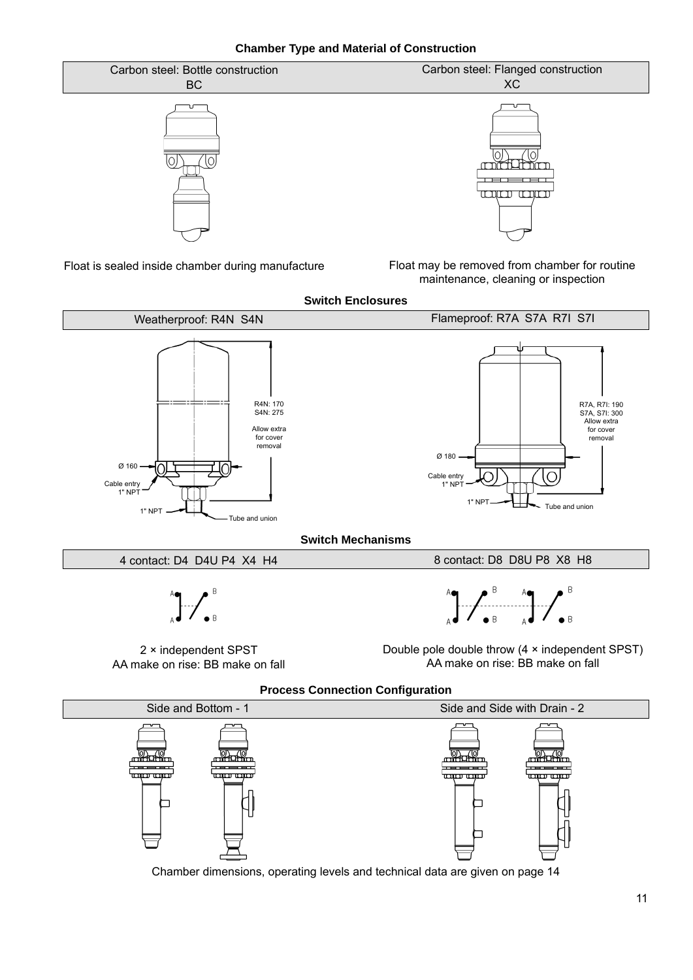**Chamber Type and Material of Construction**



Float is sealed inside chamber during manufacture

Float may be removed from chamber for routine maintenance, cleaning or inspection



Side and Bottom - 1 Side and Side with Drain - 2 **Reduction** <u>minima</u> middhin middhin **TERROR TERROR**  $\overline{\text{conv}}$  and سسسس 4<del>. . . . . . . . . . .</del> ٦

Chamber dimensions, operating levels and technical data are given on page 14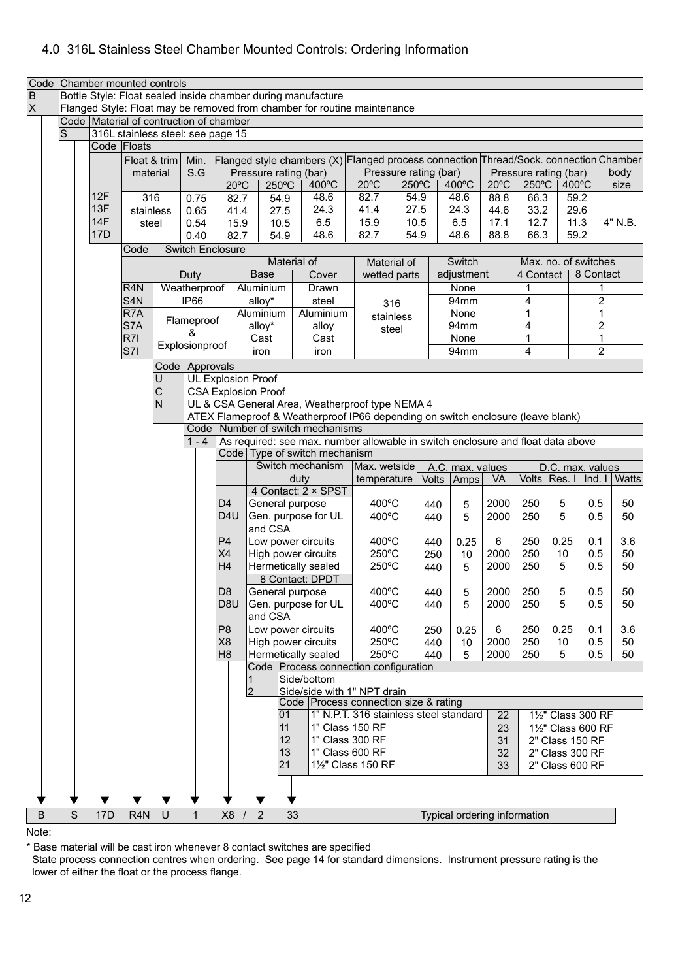### 4.0 316L Stainless Steel Chamber Mounted Controls: Ordering Information

|                     | Code Chamber mounted controls<br>Bottle Style: Float sealed inside chamber during manufacture |                   |                                         |                |                         |                                                                                                                       |                |                                                         |                                                                                       |                                        |              |              |                              |                |                       |              |                                    |              |
|---------------------|-----------------------------------------------------------------------------------------------|-------------------|-----------------------------------------|----------------|-------------------------|-----------------------------------------------------------------------------------------------------------------------|----------------|---------------------------------------------------------|---------------------------------------------------------------------------------------|----------------------------------------|--------------|--------------|------------------------------|----------------|-----------------------|--------------|------------------------------------|--------------|
| $\overline{B}$<br>X |                                                                                               |                   |                                         |                |                         |                                                                                                                       |                |                                                         | Flanged Style: Float may be removed from chamber for routine maintenance              |                                        |              |              |                              |                |                       |              |                                    |              |
|                     |                                                                                               |                   | Code Material of contruction of chamber |                |                         |                                                                                                                       |                |                                                         |                                                                                       |                                        |              |              |                              |                |                       |              |                                    |              |
|                     | lS                                                                                            |                   | 316L stainless steel: see page 15       |                |                         |                                                                                                                       |                |                                                         |                                                                                       |                                        |              |              |                              |                |                       |              |                                    |              |
|                     |                                                                                               |                   | Code Floats                             |                |                         |                                                                                                                       |                |                                                         |                                                                                       |                                        |              |              |                              |                |                       |              |                                    |              |
|                     |                                                                                               |                   | Float & trim                            |                | Min.                    |                                                                                                                       |                |                                                         | Flanged style chambers (X) Flanged process connection Thread/Sock. connection Chamber |                                        |              |              |                              |                |                       |              |                                    |              |
|                     |                                                                                               |                   | material                                |                | S.G                     |                                                                                                                       |                | Pressure rating (bar)                                   |                                                                                       | Pressure rating (bar)                  |              |              |                              |                | Pressure rating (bar) |              |                                    | body         |
|                     |                                                                                               |                   |                                         |                |                         |                                                                                                                       | $20^{\circ}$ C | $250^{\circ}$ C                                         | 400°C                                                                                 | $20^{\circ}$ C                         | 250°C        |              | 400°C                        | $20^{\circ}$ C | 250°C                 |              | 400°C                              | size         |
|                     |                                                                                               | 12F               | 316                                     |                | 0.75                    |                                                                                                                       | 82.7           | 54.9                                                    | 48.6                                                                                  | 82.7                                   | 54.9         |              | 48.6                         | 88.8           | 66.3                  |              | 59.2                               |              |
|                     |                                                                                               | 13F<br><b>14F</b> | stainless                               |                | 0.65                    |                                                                                                                       | 41.4           | 27.5                                                    | 24.3<br>6.5                                                                           | 41.4<br>15.9                           | 27.5<br>10.5 |              | 24.3<br>6.5                  | 44.6           | 33.2                  |              | 29.6                               | 4" N.B.      |
|                     |                                                                                               | 17 <sub>D</sub>   | steel                                   |                | 0.54<br>0.40            |                                                                                                                       | 15.9<br>82.7   | 10.5<br>54.9                                            | 48.6                                                                                  | 82.7                                   | 54.9         |              | 48.6                         | 17.1<br>88.8   | 12.7<br>66.3          |              | 11.3<br>59.2                       |              |
|                     |                                                                                               |                   | Code                                    |                | <b>Switch Enclosure</b> |                                                                                                                       |                |                                                         |                                                                                       |                                        |              |              |                              |                |                       |              |                                    |              |
|                     |                                                                                               |                   |                                         |                |                         |                                                                                                                       |                |                                                         | Material of                                                                           | Material of                            |              |              | Switch                       |                |                       |              | Max. no. of switches               |              |
|                     |                                                                                               |                   |                                         |                | Duty                    |                                                                                                                       |                | Base                                                    | Cover                                                                                 | wetted parts                           |              |              | adjustment                   |                | 4 Contact             |              | 8 Contact                          |              |
|                     |                                                                                               |                   | R <sub>4</sub> N                        |                | Weatherproof            |                                                                                                                       |                | Aluminium                                               | Drawn                                                                                 |                                        |              |              | None                         |                |                       |              | 1                                  |              |
|                     |                                                                                               |                   | S <sub>4N</sub>                         |                | IP <sub>66</sub>        |                                                                                                                       |                | alloy*                                                  | steel                                                                                 | 316                                    |              |              | 94mm                         |                | 4                     |              | $\overline{2}$                     |              |
|                     |                                                                                               |                   | R7A                                     |                |                         |                                                                                                                       |                | Aluminium                                               | Aluminium                                                                             | stainless                              |              |              | None                         |                | 1                     |              | 1                                  |              |
|                     |                                                                                               |                   | S7A                                     |                | Flameproof<br>&         |                                                                                                                       |                | alloy*                                                  | alloy                                                                                 | steel                                  |              |              | 94mm                         |                | 4                     |              | $\overline{2}$                     |              |
|                     |                                                                                               |                   | R7I                                     |                | Explosionproof          |                                                                                                                       |                | Cast                                                    | Cast                                                                                  |                                        |              |              | None                         |                | 1                     |              | $\mathbf{1}$                       |              |
|                     |                                                                                               |                   | S7I                                     |                |                         |                                                                                                                       |                | iron                                                    | iron                                                                                  |                                        |              |              | 94mm                         |                | 4                     |              | $\overline{2}$                     |              |
|                     |                                                                                               |                   |                                         |                | Code   Approvals        |                                                                                                                       |                |                                                         |                                                                                       |                                        |              |              |                              |                |                       |              |                                    |              |
|                     |                                                                                               |                   |                                         | U<br>С         |                         |                                                                                                                       |                | <b>UL Explosion Proof</b><br><b>CSA Explosion Proof</b> |                                                                                       |                                        |              |              |                              |                |                       |              |                                    |              |
|                     |                                                                                               |                   |                                         | $\overline{N}$ |                         |                                                                                                                       |                |                                                         | UL & CSA General Area, Weatherproof type NEMA 4                                       |                                        |              |              |                              |                |                       |              |                                    |              |
|                     |                                                                                               |                   |                                         |                |                         |                                                                                                                       |                |                                                         |                                                                                       |                                        |              |              |                              |                |                       |              |                                    |              |
|                     |                                                                                               |                   |                                         |                |                         | ATEX Flameproof & Weatherproof IP66 depending on switch enclosure (leave blank)<br>Code   Number of switch mechanisms |                |                                                         |                                                                                       |                                        |              |              |                              |                |                       |              |                                    |              |
|                     |                                                                                               |                   |                                         |                | $1 - 4$                 |                                                                                                                       |                |                                                         | As required: see max. number allowable in switch enclosure and float data above       |                                        |              |              |                              |                |                       |              |                                    |              |
|                     |                                                                                               |                   |                                         |                |                         |                                                                                                                       |                |                                                         | Code   Type of switch mechanism                                                       |                                        |              |              |                              |                |                       |              |                                    |              |
|                     |                                                                                               |                   |                                         |                |                         |                                                                                                                       |                |                                                         | Switch mechanism<br>duty                                                              | Max. wetside<br>temperature            |              | <b>Volts</b> | A.C. max. values<br>Amps     | VA             |                       | Volts Res. I | D.C. max. values<br>Ind. 1         | <b>Watts</b> |
|                     |                                                                                               |                   |                                         |                |                         |                                                                                                                       |                |                                                         | 4 Contact: 2 × SPST                                                                   |                                        |              |              |                              |                |                       |              |                                    |              |
|                     |                                                                                               |                   |                                         |                |                         | D <sub>4</sub>                                                                                                        |                | General purpose                                         |                                                                                       | 400°C                                  |              | 440          | 5                            | 2000           | 250                   | 5            | 0.5                                | 50           |
|                     |                                                                                               |                   |                                         |                |                         | D <sub>4</sub> U                                                                                                      |                |                                                         | Gen. purpose for UL                                                                   | 400°C                                  |              | 440          | 5                            | 2000           | 250                   | 5            | 0.5                                | 50           |
|                     |                                                                                               |                   |                                         |                |                         |                                                                                                                       |                | and CSA                                                 |                                                                                       |                                        |              |              |                              |                |                       |              |                                    |              |
|                     |                                                                                               |                   |                                         |                |                         | P <sub>4</sub>                                                                                                        |                |                                                         | Low power circuits                                                                    | $400^{\circ}$ C                        |              | 440          | 0.25                         | 6              | 250                   | 0.25         | 0.1                                | 3.6          |
|                     |                                                                                               |                   |                                         |                |                         | X4                                                                                                                    |                |                                                         | High power circuits                                                                   | 250°C                                  |              | 250          | 10                           | 2000           | 250                   | 10           | 0.5                                | 50           |
|                     |                                                                                               |                   |                                         |                |                         | H <sub>4</sub>                                                                                                        |                |                                                         | Hermetically sealed<br>8 Contact: DPDT                                                | 250°C                                  |              | 440          | 5                            | 2000           | 250                   | 5            | 0.5                                | 50           |
|                     |                                                                                               |                   |                                         |                |                         | D <sub>8</sub>                                                                                                        |                | General purpose                                         |                                                                                       | 400°C                                  |              | 440          | 5                            | 2000           | 250                   | 5            | 0.5                                | 50           |
|                     |                                                                                               |                   |                                         |                |                         | D <sub>8</sub> U                                                                                                      |                |                                                         | Gen. purpose for UL                                                                   | 400°C                                  |              | 440          | 5                            | 2000           | 250                   | 5            | 0.5                                | 50           |
|                     |                                                                                               |                   |                                         |                |                         |                                                                                                                       |                | and CSA                                                 |                                                                                       |                                        |              |              |                              |                |                       |              |                                    |              |
|                     |                                                                                               |                   |                                         |                |                         | P <sub>8</sub>                                                                                                        |                |                                                         | Low power circuits                                                                    | 400°C                                  |              | 250          | 0.25                         | 6              | 250                   | 0.25         | 0.1                                | 3.6          |
|                     |                                                                                               |                   |                                         |                |                         | X <sub>8</sub>                                                                                                        |                |                                                         | High power circuits                                                                   | 250°C                                  |              | 440          | 10                           | 2000           | 250                   | 10           | 0.5                                | 50           |
|                     |                                                                                               |                   |                                         |                |                         | H <sub>8</sub>                                                                                                        |                |                                                         | Hermetically sealed                                                                   | 250°C                                  |              | 440          | 5                            | 2000           | 250                   | 5            | 0.5                                | 50           |
|                     |                                                                                               |                   |                                         |                |                         |                                                                                                                       |                |                                                         | Code Process connection configuration<br>Side/bottom                                  |                                        |              |              |                              |                |                       |              |                                    |              |
|                     |                                                                                               |                   |                                         |                |                         |                                                                                                                       |                | 2                                                       | Side/side with 1" NPT drain                                                           |                                        |              |              |                              |                |                       |              |                                    |              |
|                     |                                                                                               |                   |                                         |                |                         |                                                                                                                       |                |                                                         | Code Process connection size & rating                                                 |                                        |              |              |                              |                |                       |              |                                    |              |
|                     |                                                                                               |                   |                                         |                |                         |                                                                                                                       |                | 01                                                      |                                                                                       | 1" N.P.T. 316 stainless steel standard |              |              |                              | 22             |                       |              | 11/2" Class 300 RF                 |              |
|                     |                                                                                               |                   |                                         |                |                         |                                                                                                                       |                | 11                                                      |                                                                                       | 1" Class 150 RF                        |              |              |                              | 23             |                       |              | 11/2" Class 600 RF                 |              |
|                     |                                                                                               |                   |                                         |                |                         |                                                                                                                       |                | 12<br>13                                                |                                                                                       | 1" Class 300 RF<br>1" Class 600 RF     |              |              |                              | 31             |                       |              | 2" Class 150 RF                    |              |
|                     |                                                                                               |                   |                                         |                |                         |                                                                                                                       |                | 21                                                      |                                                                                       | 11/2" Class 150 RF                     |              |              |                              | 32<br>33       |                       |              | 2" Class 300 RF<br>2" Class 600 RF |              |
|                     |                                                                                               |                   |                                         |                |                         |                                                                                                                       |                |                                                         |                                                                                       |                                        |              |              |                              |                |                       |              |                                    |              |
|                     |                                                                                               |                   |                                         |                |                         |                                                                                                                       |                |                                                         |                                                                                       |                                        |              |              |                              |                |                       |              |                                    |              |
|                     |                                                                                               |                   |                                         |                |                         |                                                                                                                       |                |                                                         |                                                                                       |                                        |              |              |                              |                |                       |              |                                    |              |
| $\sf B$             | S                                                                                             | 17 <sub>D</sub>   | R <sub>4</sub> N                        | U              | $\mathbf{1}$            |                                                                                                                       | X8 /           | $\overline{2}$                                          | 33                                                                                    |                                        |              |              | Typical ordering information |                |                       |              |                                    |              |

Note:

\* Base material will be cast iron whenever 8 contact switches are specifi ed

 State process connection centres when ordering. See page 14 for standard dimensions. Instrument pressure rating is the lower of either the float or the process flange.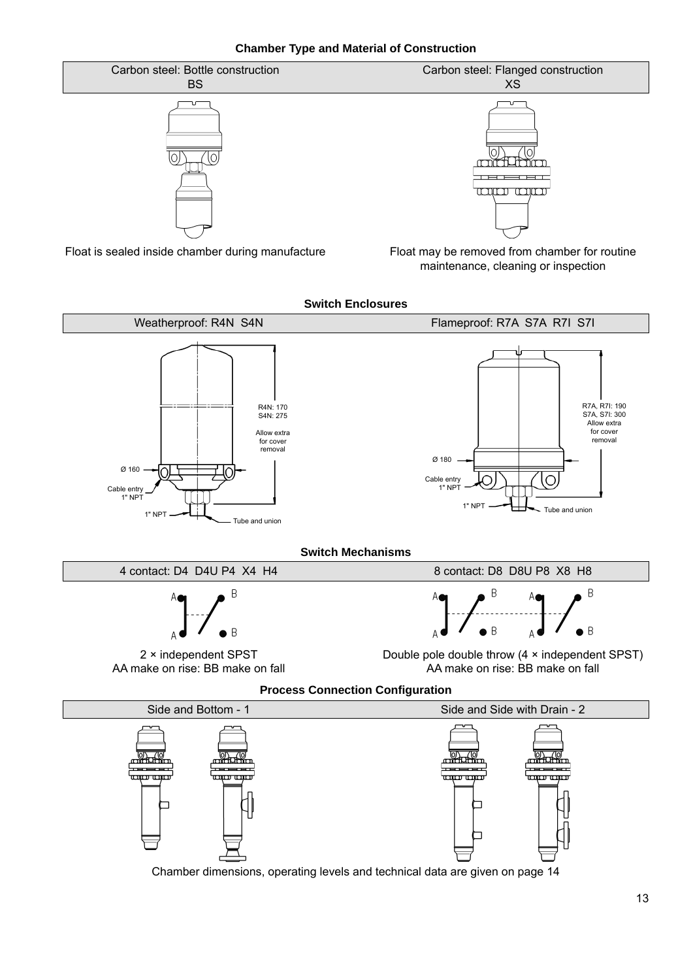**Chamber Type and Material of Construction**



Float is sealed inside chamber during manufacture

┑

Float may be removed from chamber for routine maintenance, cleaning or inspection

┑

**Switch Enclosures** Weatherproof: R4N S4N Flameproof: R7A S7A R7I S7I R7A, R7I: 190 S7A, S7I: 300 R4N: 170 S4N: 275 Allow extra for cover Allow extra for cover removal removal Ø 180 Ø 160Cable entry Cable entr 1" NPT 1" NPT 1" NPT  $\leftarrow$  Tube and union  $1"$  NPT  $\leftarrow$   $\leftarrow$   $\leftarrow$   $\leftarrow$   $\leftarrow$   $\leftarrow$   $\leftarrow$   $\leftarrow$   $\leftarrow$   $\leftarrow$   $\leftarrow$   $\leftarrow$   $\leftarrow$   $\leftarrow$   $\leftarrow$   $\leftarrow$   $\leftarrow$   $\leftarrow$   $\leftarrow$   $\leftarrow$   $\leftarrow$   $\leftarrow$   $\leftarrow$   $\leftarrow$   $\leftarrow$   $\leftarrow$   $\leftarrow$   $\leftarrow$   $\leftarrow$   $\leftarrow$   $\leftarrow$   $\leftarrow$   $\leftarrow$   $\leftarrow$   $\leftarrow$   $\$ **Switch Mechanisms** 4 contact: D4 D4U P4 X4 H4 8 contact: D8 D8U P8 X8 H8 B F B  $\overline{B}$  $\overline{B}$ 2 × independent SPST Double pole double throw (4 × independent SPST) AA make on rise: BB make on fall AA make on rise: BB make on fall **Process Connection Configuration** Side and Bottom - 1 Side and Side with Drain - 2 2000  $\frac{10}{100}$ ╫┰╈ نس س سبت سب <del>.<br>1110 cm</del> ᡃ<del>ౠ᠁</del>

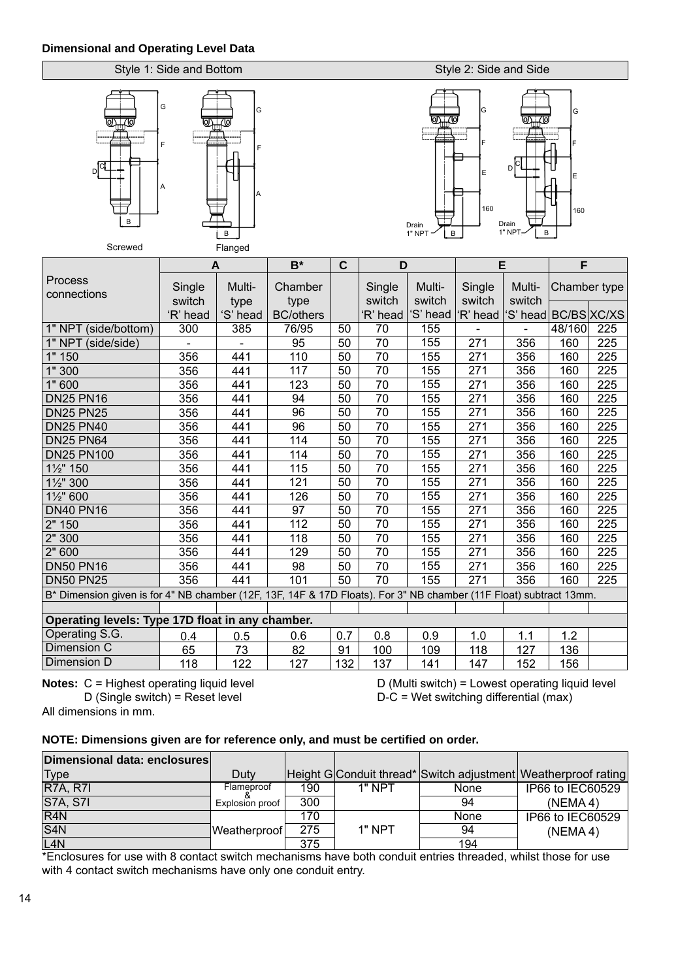### **Dimensional and Operating Level Data**

### Style 1: Side and Bottom



A

F

G

### Style 2: Side and Side



|                                                                                                                    | A                |                  | $B^*$                    | $\mathbf C$ | D                |                  |                  | E                        | F            |     |
|--------------------------------------------------------------------------------------------------------------------|------------------|------------------|--------------------------|-------------|------------------|------------------|------------------|--------------------------|--------------|-----|
| Process<br>connections                                                                                             | Single<br>switch | Multi-           | Chamber                  |             | Single<br>switch | Multi-<br>switch | Single<br>switch | Multi-<br>switch         | Chamber type |     |
|                                                                                                                    | 'R' head         | type<br>'S' head | type<br><b>BC/others</b> |             | 'R' head         | 'S' head         | 'R' head         | 'S' head   BC/BS   XC/XS |              |     |
| 1" NPT (side/bottom)                                                                                               | 300              | 385              | 76/95                    | 50          | 70               | 155              |                  |                          | 48/160       | 225 |
| 1" NPT (side/side)                                                                                                 |                  |                  | $\overline{95}$          | 50          | 70               | 155              | 271              | 356                      | 160          | 225 |
| 1" 150                                                                                                             | 356              | 441              | 110                      | 50          | 70               | 155              | 271              | 356                      | 160          | 225 |
| 1" 300                                                                                                             | 356              | 441              | 117                      | 50          | $\overline{70}$  | 155              | 271              | 356                      | 160          | 225 |
| 1" 600                                                                                                             | 356              | 441              | 123                      | 50          | 70               | 155              | 271              | 356                      | 160          | 225 |
| <b>DN25 PN16</b>                                                                                                   | 356              | 441              | 94                       | 50          | 70               | 155              | 271              | 356                      | 160          | 225 |
| <b>DN25 PN25</b>                                                                                                   | 356              | 441              | 96                       | 50          | 70               | 155              | 271              | 356                      | 160          | 225 |
| <b>DN25 PN40</b>                                                                                                   | 356              | 441              | 96                       | 50          | $\overline{70}$  | 155              | 271              | 356                      | 160          | 225 |
| <b>DN25 PN64</b>                                                                                                   | 356              | 441              | 114                      | 50          | 70               | 155              | 271              | 356                      | 160          | 225 |
| <b>DN25 PN100</b>                                                                                                  | 356              | 441              | 114                      | 50          | 70               | 155              | 271              | 356                      | 160          | 225 |
| 11/2" 150                                                                                                          | 356              | 441              | 115                      | 50          | 70               | 155              | 271              | 356                      | 160          | 225 |
| 1½" 300                                                                                                            | 356              | 441              | 121                      | 50          | 70               | 155              | 271              | 356                      | 160          | 225 |
| 1½" 600                                                                                                            | 356              | 441              | 126                      | 50          | 70               | 155              | 271              | 356                      | 160          | 225 |
| <b>DN40 PN16</b>                                                                                                   | 356              | 441              | 97                       | 50          | $\overline{70}$  | 155              | 271              | 356                      | 160          | 225 |
| 2" 150                                                                                                             | 356              | 441              | 112                      | 50          | 70               | 155              | 271              | 356                      | 160          | 225 |
| 2" 300                                                                                                             | 356              | 441              | 118                      | 50          | 70               | 155              | 271              | 356                      | 160          | 225 |
| 2" 600                                                                                                             | 356              | 441              | 129                      | 50          | 70               | 155              | 271              | 356                      | 160          | 225 |
| <b>DN50 PN16</b>                                                                                                   | 356              | 441              | 98                       | 50          | 70               | 155              | 271              | 356                      | 160          | 225 |
| <b>DN50 PN25</b>                                                                                                   | 356              | 441              | 101                      | 50          | 70               | 155              | 271              | 356                      | 160          | 225 |
| B* Dimension given is for 4" NB chamber (12F, 13F, 14F & 17D Floats). For 3" NB chamber (11F Float) subtract 13mm. |                  |                  |                          |             |                  |                  |                  |                          |              |     |
|                                                                                                                    |                  |                  |                          |             |                  |                  |                  |                          |              |     |
| Operating levels: Type 17D float in any chamber.                                                                   |                  |                  |                          |             |                  |                  |                  |                          |              |     |
| Operating S.G.                                                                                                     | 0.4              | 0.5              | 0.6                      | 0.7         | 0.8              | 0.9              | 1.0              | 1.1                      | 1.2          |     |
| Dimension C                                                                                                        | 65               | 73               | 82                       | 91          | 100              | 109              | 118              | 127                      | 136          |     |
| Dimension D                                                                                                        | 118              | 122              | 127                      | 132         | 137              | 141              | 147              | 152                      | 156          |     |

All dimensions in mm.

**Notes:** C = Highest operating liquid level <br>D (Single switch) = Reset level <br>D-C = Wet switching differential (max)  $D-C = Wet$  switching differential (max)

### **NOTE: Dimensions given are for reference only, and must be certifi ed on order.**

| Dimensional data: enclosures |                 |     |          |      |                                                                |
|------------------------------|-----------------|-----|----------|------|----------------------------------------------------------------|
| <b>Type</b>                  | Duty            |     |          |      | Height G Conduit thread* Switch adjustment Weatherproof rating |
| <b>R7A, R7I</b>              | Flameproof      | 190 | $1"$ NPT | None | IP66 to IEC60529                                               |
| <b>S7A, S7I</b>              | Explosion proof | 300 |          | 94   | (NEMA4)                                                        |
| R4N                          |                 | 170 |          | None | IP66 to IEC60529                                               |
| S4N                          | Weatherproof    | 275 | $1"$ NPT | 94   | (NEMA4)                                                        |
| L <sub>4N</sub>              |                 | 375 |          | 194  |                                                                |

\*Enclosures for use with 8 contact switch mechanisms have both conduit entries threaded, whilst those for use with 4 contact switch mechanisms have only one conduit entry.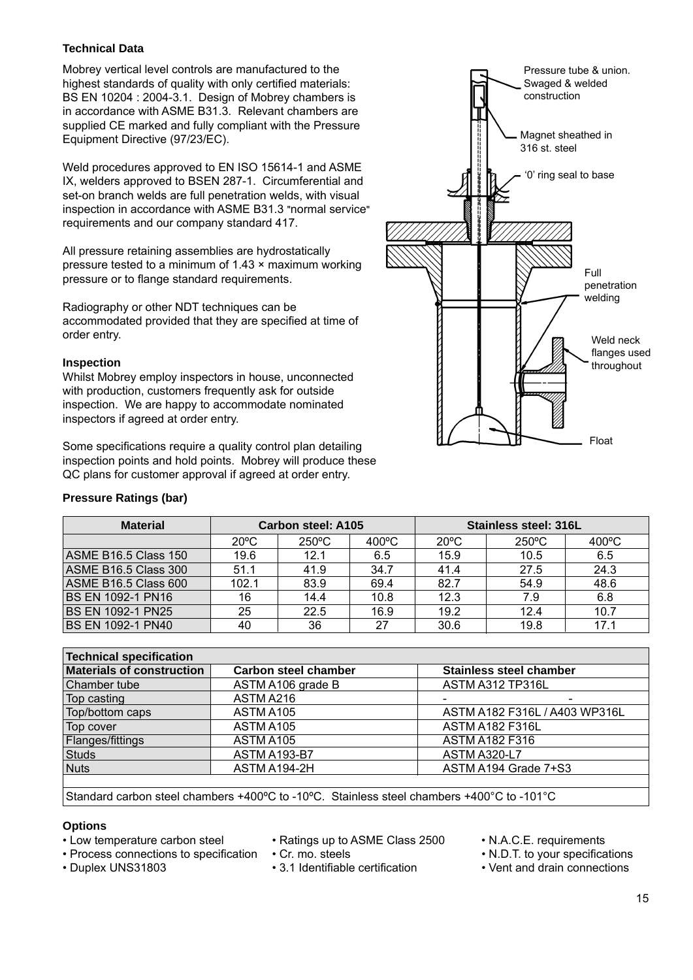### **Technical Data**

Mobrey vertical level controls are manufactured to the highest standards of quality with only certified materials: BS EN 10204 : 2004-3.1. Design of Mobrey chambers is in accordance with ASME B31.3. Relevant chambers are supplied CE marked and fully compliant with the Pressure Equipment Directive (97/23/EC).

Weld procedures approved to EN ISO 15614-1 and ASME IX, welders approved to BSEN 287-1. Circumferential and set-on branch welds are full penetration welds, with visual inspection in accordance with ASME B31.3 "normal service" requirements and our company standard 417.

All pressure retaining assemblies are hydrostatically pressure tested to a minimum of 1.43 × maximum working pressure or to flange standard requirements.

Radiography or other NDT techniques can be accommodated provided that they are specified at time of order entry.

### **Inspection**

Whilst Mobrey employ inspectors in house, unconnected with production, customers frequently ask for outside inspection. We are happy to accommodate nominated inspectors if agreed at order entry.

Some specifications require a quality control plan detailing inspection points and hold points. Mobrey will produce these QC plans for customer approval if agreed at order entry.

### **Pressure Ratings (bar)**



| <b>Material</b>      |                | Carbon steel: A105 |                 | Stainless steel: 316L |                 |                 |  |
|----------------------|----------------|--------------------|-----------------|-----------------------|-----------------|-----------------|--|
|                      | $20^{\circ}$ C | $250^{\circ}$ C    | $400^{\circ}$ C | $20^{\circ}$ C        | $250^{\circ}$ C | $400^{\circ}$ C |  |
| ASME B16.5 Class 150 | 19.6           | 12.1               | 6.5             | 15.9                  | 10.5            | 6.5             |  |
| ASME B16.5 Class 300 | 51.1           | 41.9               | 34.7            | 41.4                  | 27.5            | 24.3            |  |
| ASME B16.5 Class 600 | 102.1          | 83.9               | 69.4            | 82.7                  | 54.9            | 48.6            |  |
| IBS EN 1092-1 PN16   | 16             | 14.4               | 10.8            | 12.3                  | 7.9             | 6.8             |  |
| IBS EN 1092-1 PN25   | 25             | 22.5               | 16.9            | 19.2                  | 12.4            | 10.7            |  |
| IBS EN 1092-1 PN40   | 40             | 36                 | 27              | 30.6                  | 19.8            | 17.1            |  |

| Technical specification          |                             |                                |  |  |  |  |
|----------------------------------|-----------------------------|--------------------------------|--|--|--|--|
| <b>Materials of construction</b> | <b>Carbon steel chamber</b> | <b>Stainless steel chamber</b> |  |  |  |  |
| Chamber tube                     | ASTM A106 grade B           | ASTM A312 TP316L               |  |  |  |  |
| Top casting                      | ASTM A216                   |                                |  |  |  |  |
| Top/bottom caps                  | ASTM A105                   | ASTM A182 F316L / A403 WP316L  |  |  |  |  |
| Top cover                        | ASTM A105                   | <b>ASTM A182 F316L</b>         |  |  |  |  |
| Flanges/fittings                 | ASTM A105                   | <b>ASTM A182 F316</b>          |  |  |  |  |
| Studs                            | ASTM A193-B7                | <b>ASTM A320-L7</b>            |  |  |  |  |
| Nuts                             | ASTM A194-2H                | ASTM A194 Grade 7+S3           |  |  |  |  |
|                                  |                             |                                |  |  |  |  |

Standard carbon steel chambers +400ºC to -10ºC. Stainless steel chambers +400°C to -101°C

### **Options**

- 
- Low temperature carbon steel Ratings up to ASME Class 2500 N.A.C.E. requirements
	-

- 
- 
- Process connections to specification Cr. mo. steels N.D.T. to your specifications
- Duplex UNS31803 3.1 Identifiable certification Vent and drain connections